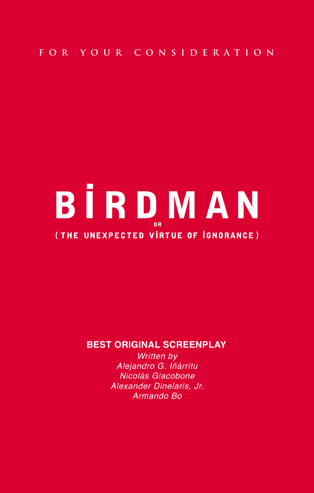# BİRDMAN 0R (THE UNEXPECTED VIRTUE OF IGNORANCE)

## **BEST ORIGINAL SCREENPLAY**

*Written by Alejandro G. Iñárritu Nicolás Giacobone Alexander Dinelaris, Jr. Armando Bo*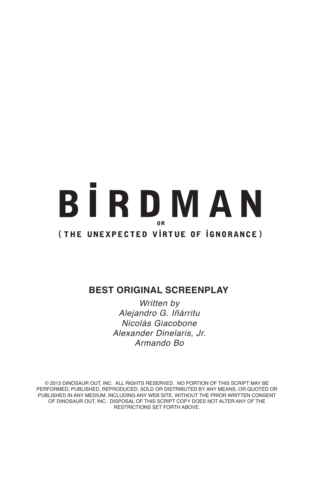# BIRDMAN 0R (THE UNEXPECTED VIRTUE OF IGNORANCE)

## **BEST ORIGINAL SCREENPLAY**

*Written by Alejandro G. Iñárritu Nicolás Giacobone Alexander Dinelaris, Jr. Armando Bo*

© 2013 DINOSAUR OUT, INC. ALL RIGHTS RESERVED. NO PORTION OF THIS SCRIPT MAY BE PERFORMED, PUBLISHED, REPRODUCED, SOLD OR DISTRIBUTED BY ANY MEANS, OR QUOTED OR PUBLISHED IN ANY MEDIUM, INCLUDING ANY WEB SITE, WITHOUT THE PRIOR WRITTEN CONSENT OF DINOSAUR OUT, INC. DISPOSAL OF THIS SCRIPT COPY DOES NOT ALTER ANY OF THE RESTRICTIONS SET FORTH ABOVE.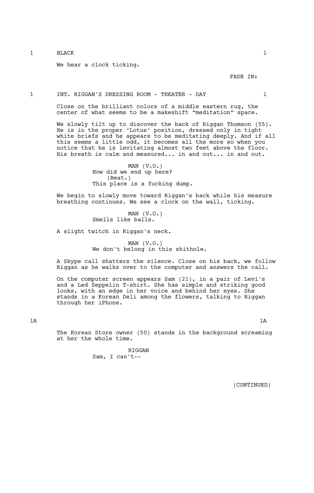#### 1 BLACK 1

We hear a clock ticking.

FADE IN:

1 INT. RIGGAN'S DRESSING ROOM - THEATER - DAY 1

Close on the brilliant colors of a middle eastern rug, the center of what seems to be a makeshift "meditation" space.

We slowly tilt up to discover the back of Riggan Thomson (55). He is in the proper 'Lotus' position, dressed only in tight white briefs and he appears to be meditating deeply. And if all this seems a little odd, it becomes all the more so when you notice that he is levitating almost two feet above the floor. His breath is calm and measured... in and out... in and out.

> MAN (V.O.) How did we end up here? (Beat.) This place is a fucking dump.

We begin to slowly move toward Riggan's back while his measure breathing continues. We see a clock on the wall, ticking.

> MAN (V.O.) Smells like balls.

A slight twitch in Riggan's neck.

MAN (V.O.) We don't belong in this shithole.

A Skype call shatters the silence. Close on his back, we follow Riggan as he walks over to the computer and answers the call.

On the computer screen appears Sam (21), in a pair of Levi's and a Led Zeppelin T-shirt. She has simple and striking good looks, with an edge in her voice and behind her eyes. She stands in a Korean Deli among the flowers, talking to Riggan through her iPhone.

1A 1A

The Korean Store owner (50) stands in the background screaming at her the whole time.

> RIGGAN Sam, I can't--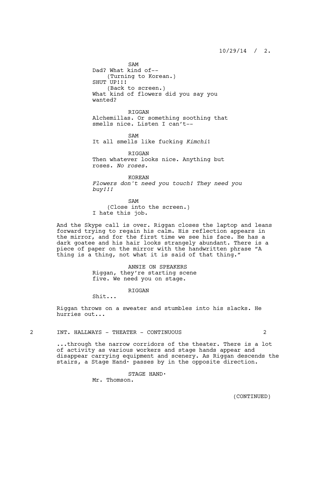SAM Dad? What kind of-- (Turning to Korean.) SHUT UP!!! (Back to screen.) What kind of flowers did you say you wanted?

RIGGAN Alchemillas. Or something soothing that smells nice. Listen I can't--

**SAM** It all smells like fucking *Kimchi*!

RIGGAN Then whatever looks nice. Anything but roses. *No roses.*

KOREAN *Flowers don't need you touch! They need you buy!!!*

SAM (Close into the screen.) I hate this job.

And the Skype call is over. Riggan closes the laptop and leans forward trying to regain his calm. His reflection appears in the mirror, and for the first time we see his face. He has a dark goatee and his hair looks strangely abundant. There is a piece of paper on the mirror with the handwritten phrase "A thing is a thing, not what it is said of that thing."

> ANNIE ON SPEAKERS Riggan, they're starting scene five. We need you on stage.

> > RIGGAN

Shit...

Riggan throws on a sweater and stumbles into his slacks. He hurries out...

2 INT. HALLWAYS - THEATER - CONTINUOUS 2

...through the narrow corridors of the theater. There is a lot of activity as various workers and stage hands appear and disappear carrying equipment and scenery. As Riggan descends the stairs, a Stage Hand· passes by in the opposite direction.

STAGE HAND.<br>Mr. Thomson.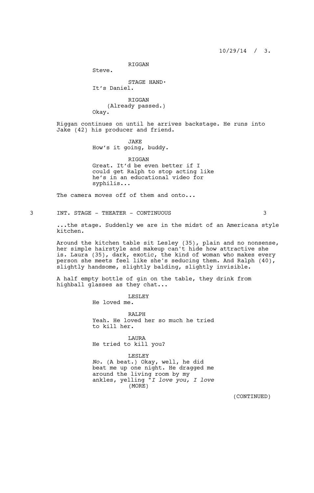10/29/14 / 3.

RIGGAN

Steve.

STAGE HAND·

It's Daniel.

RIGGAN (Already passed.) Okay.

Riggan continues on until he arrives backstage. He runs into Jake (42) his producer and friend.

JAKE

How's it going, buddy.

RIGGAN Great. It'd be even better if I could get Ralph to stop acting like he's in an educational video for syphilis...

The camera moves off of them and onto...

3 INT. STAGE - THEATER - CONTINUOUS 3

...the stage. Suddenly we are in the midst of an Americana style kitchen.

Around the kitchen table sit Lesley (35), plain and no nonsense, her simple hairstyle and makeup can't hide how attractive she is. Laura (35), dark, exotic, the kind of woman who makes every person she meets feel like she's seducing them. And Ralph  $(40)$ , slightly handsome, slightly balding, slightly invisible.

A half empty bottle of gin on the table, they drink from highball glasses as they chat...

LESLEY

He loved me.

RALPH Yeah. He loved her so much he tried to kill her.

LAURA He tried to kill you?

LESLEY *No.* (A beat.) Okay, well, he did beat me up one night. He dragged me around the living room by my ankles, yelling "*I love you, I love*  (MORE)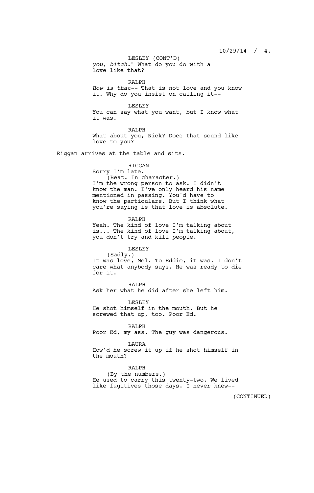*you, bitch.*" What do you do with a love like that? RALPH *How is that--* That is not love and you know it. Why do you insist on calling it-- LESLEY You can say what you want, but I know what it was. RALPH What about you, Nick? Does that sound like love to you? Riggan arrives at the table and sits. RIGGAN Sorry I'm late. (Beat. In character.) I'm the wrong person to ask. I didn't know the man. I've only heard his name mentioned in passing. You'd have to know the particulars. But I think what you're saying is that love is absolute. RALPH Yeah. The kind of love I'm talking about is... The kind of love I'm talking about, you don't try and kill people. LESLEY (Sadly.) It was love, Mel. To Eddie, it was. I don't care what anybody says. He was ready to die for it. RALPH Ask her what he did after she left him. LESLEY He shot himself in the mouth. But he screwed that up, too. Poor Ed. RALPH Poor Ed, my ass. The guy was dangerous. LAURA<br>How'd he screw it up if he shot himself in the mouth? RALPH<br>(By the numbers.) He used to carry this twenty-two. We lived like fugitives those days. I never knew-- LESLEY (CONT'D) (CONTINUED)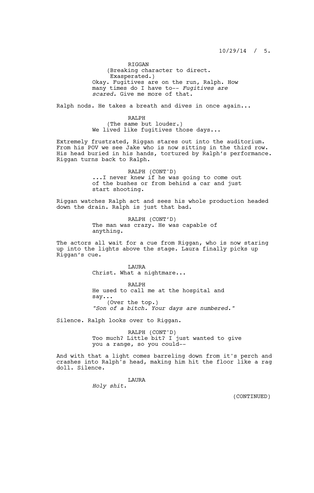10/29/14 / 5.

RIGGAN (Breaking character to direct. Exasperated.) Okay. Fugitives are on the run, Ralph. How many times do I have to-- *Fugitives are scared.* Give me more of that.

Ralph nods. He takes a breath and dives in once again...

RALPH (The same but louder.) We lived like fugitives those days...

Extremely frustrated, Riggan stares out into the auditorium. From his POV we see Jake who is now sitting in the third row. His head buried in his hands, tortured by Ralph's performance. Riggan turns back to Ralph.

> RALPH (CONT'D) ...I never knew if he was going to come out of the bushes or from behind a car and just start shooting.

Riggan watches Ralph act and sees his whole production headed down the drain. Ralph is just that bad.

> RALPH (CONT'D) The man was crazy. He was capable of anything.

The actors all wait for a cue from Riggan, who is now staring up into the lights above the stage. Laura finally picks up Riggan's cue.

> LAURA Christ. What a nightmare...

RALPH He used to call me at the hospital and say... (Over the top.) *"Son of a bitch. Your days are numbered."*

Silence. Ralph looks over to Riggan.

RALPH (CONT'D) Too much? Little bit? I just wanted to give you a range, so you could--

And with that a light comes barreling down from it's perch and crashes into Ralph's head, making him hit the floor like a rag doll. Silence.

> LAURA *Holy shit.*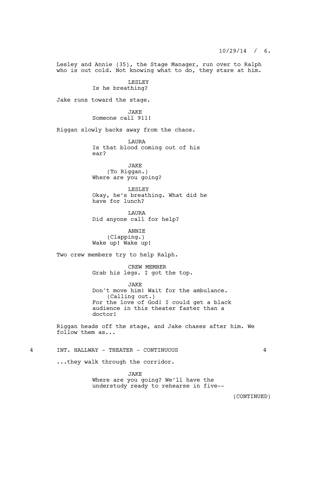10/29/14 / 6.

Lesley and Annie (35), the Stage Manager, run over to Ralph who is out cold. Not knowing what to do, they stare at him. LESLEY Is he breathing? Jake runs toward the stage. JAKE Someone call 911! Riggan slowly backs away from the chaos. LAURA Is that blood coming out of his ear? JAKE (To Riggan.) Where are you going? LESLEY Okay, he's breathing. What did he have for lunch? LAURA Did anyone call for help? ANNIE (Clapping.) Wake up! Wake up! Two crew members try to help Ralph. CREW MEMBER Grab his legs. I got the top. JAKE Don't move him! Wait for the ambulance. (Calling out.) For the love of God! I could get a black audience in this theater faster than a doctor! Riggan heads off the stage, and Jake chases after him. We follow them as... 4 INT. HALLWAY - THEATER - CONTINUOUS 4 ...they walk through the corridor. JAKE Where are you going? We'll have the understudy ready to rehearse in five-- (CONTINUED)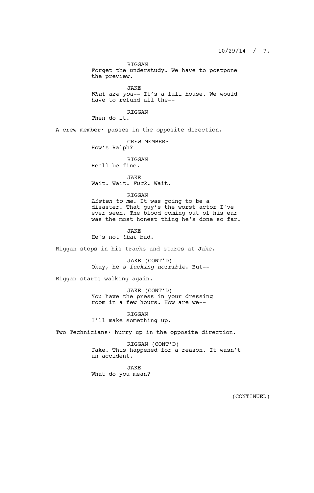10/29/14 / 7.

RIGGAN Forget the understudy. We have to postpone the preview. JAKE *What are you--* It's a full house. We would have to refund all the-- RIGGAN Then do it. A crew member· passes in the opposite direction. CREW MEMBER· How's Ralph? RIGGAN He'll be fine. JAKE Wait. Wait. *Fuck.* Wait. RIGGAN *Listen to me.* It was going to be a disaster. That guy's the worst actor I've ever seen. The blood coming out of his ear was the most honest thing he's done so far. JAKE He's not *that* bad. Riggan stops in his tracks and stares at Jake. JAKE (CONT'D) Okay, he'*s fucking horrible*. But-- Riggan starts walking again. JAKE (CONT'D) You have the press in your dressing room in a few hours. How are we-- RIGGAN I'll make something up. Two Technicians· hurry up in the opposite direction. RIGGAN (CONT'D) Jake*.* This happened for a reason. It wasn't an accident. JAKE<br>What do you mean? (CONTINUED)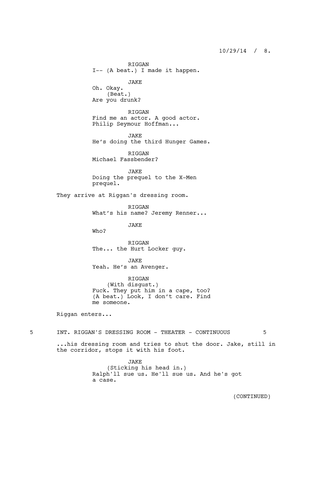10/29/14 / 8.

RIGGAN I-- (A beat.) I made it happen. JAKE Oh. Okay. (Beat.) Are you drunk? RIGGAN Find me an actor. A good actor. Philip Seymour Hoffman... JAKE He's doing the third Hunger Games. RIGGAN Michael Fassbender? JAKE Doing the prequel to the X-Men prequel. They arrive at Riggan's dressing room. RIGGAN What's his name? Jeremy Renner... JAKE Who? RIGGAN The... the Hurt Locker guy. JAKE Yeah. He's an Avenger. RIGGAN (With disgust.) Fuck. They put him in a cape, too? (A beat.) Look, I don't care. Find me someone. Riggan enters... 5 INT. RIGGAN'S DRESSING ROOM - THEATER - CONTINUOUS 5 ...his dressing room and tries to shut the door. Jake, still in the corridor, stops it with his foot. JAKE (Sticking his head in.) Ralph'll sue us. He'll sue us. And he's got a case.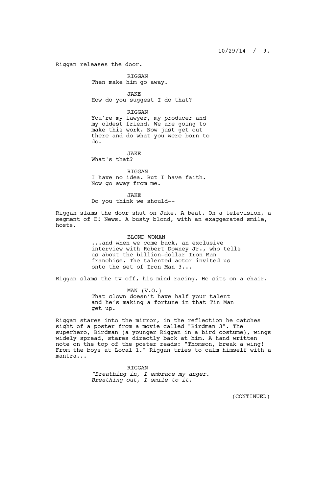10/29/14 / 9.

Riggan releases the door.

RIGGAN Then make him go away.

JAKE<br>How do you suggest I do that?

RIGGAN You're my lawyer, my producer and my oldest friend. We are going to make this work. Now just get out there and do what you were born to do.

JAKE What's that?

RIGGAN I have no idea. But I have faith. Now go away from me.

JAKE Do you think we should--

Riggan slams the door shut on Jake. A beat. On a television, a segment of E! News. A busty blond, with an exaggerated smile, hosts.

> BLOND WOMAN<br>...and when we come back, an exclusive interview with Robert Downey Jr., who tells us about the billion-dollar Iron Man franchise. The talented actor invited us onto the set of Iron Man 3...

Riggan slams the tv off, his mind racing. He sits on a chair.

MAN (V.O.) That clown doesn't have half your talent and he's making a fortune in that Tin Man get up.

Riggan stares into the mirror, in the reflection he catches sight of a poster from a movie called "Birdman 3". The superhero, Birdman (a younger Riggan in a bird costume), wings<br>widely spread, stares directly back at him. A hand written<br>note on the top of the poster reads: "Thomson, break a wing!<br>From the boys at Local 1." Riggan tries mantra...

RIGGAN *"Breathing in, I embrace my anger. Breathing out, I smile to it."*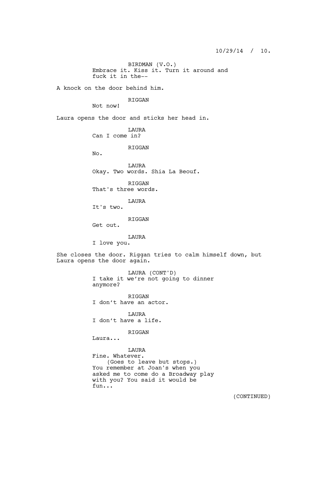BIRDMAN (V.O.) Embrace it. Kiss it. Turn it around and fuck it in the-- A knock on the door behind him. RIGGAN Not now! Laura opens the door and sticks her head in. LAURA Can I come in? RIGGAN No. LAURA Okay. Two words. Shia La Beouf. RIGGAN That's three words. LAURA It's two. RIGGAN Get out. LAURA I love you. She closes the door. Riggan tries to calm himself down, but Laura opens the door again. LAURA (CONT'D) I take it we're not going to dinner anymore? RIGGAN I don't have an actor. LAURA I don't have a life. RIGGAN Laura... LAURA Fine. Whatever. (Goes to leave but stops.) You remember at Joan's when you asked me to come do a Broadway play with you? You said it would be fun...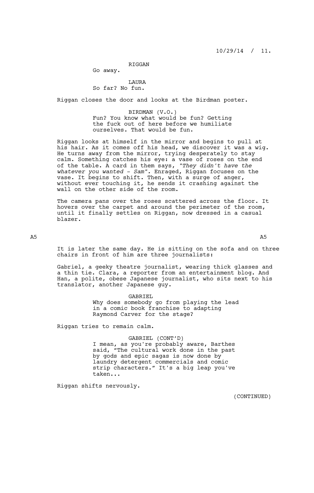10/29/14 / 11.

RIGGAN

Go away.

LAURA So far? No fun.

Riggan closes the door and looks at the Birdman poster.

BIRDMAN (V.O.) Fun? You know what would be fun? Getting the fuck out of here before we humiliate ourselves. That would be fun.

Riggan looks at himself in the mirror and begins to pull at his hair. As it comes off his head, we discover it was a wig. He turns away from the mirror, trying desperately to stay calm. Something catches his eye: a vase of roses on the end of the table. A card in them says, "They didn't have the<br>whatever you wanted - Sam". Enraged, Riggan focuses on the<br>vase. It begins to shift. Then, with a surge of anger,<br>without ever touching it, he sends it crashing agai wall on the other side of the room.

The camera pans over the roses scattered across the floor. It hovers over the carpet and around the perimeter of the room, until it finally settles on Riggan, now dressed in a casual blazer.

A5 A5

It is later the same day. He is sitting on the sofa and on three chairs in front of him are three journalists:

Gabriel, a geeky theatre journalist, wearing thick glasses and a thin tie. Clara, a reporter from an entertainment blog. And Han, a polite, obese Japanese journalist, who sits next to his translator, another Japanese guy.

> GABRIEL Why does somebody go from playing the lead in a comic book franchise to adapting Raymond Carver for the stage?

Riggan tries to remain calm.

GABRIEL (CONT'D) I mean, as you're probably aware, Barthes said, "The cultural work done in the past by gods and epic sagas is now done by laundry detergent commercials and comic strip characters." It's a big leap you've taken...

Riggan shifts nervously.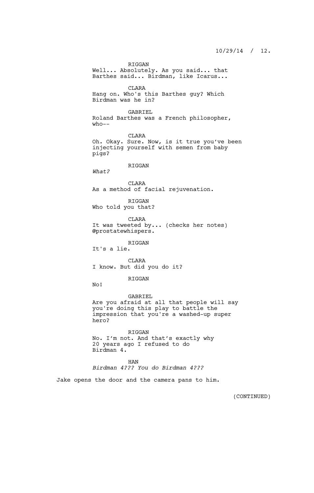10/29/14 / 12.

RIGGAN Well... Absolutely. As you said... that Barthes said... Birdman, like Icarus... CLARA Hang on. Who's this Barthes guy? Which Birdman was he in? GABRIEL Roland Barthes was a French philosopher,  $who--$ CLARA Oh. Okay. Sure. Now, is it true you've been injecting yourself with semen from baby pigs? RIGGAN *What?* CLARA As a method of facial rejuvenation. RIGGAN Who told you that? CLARA It was tweeted by... (checks her notes) @prostatewhispers. RIGGAN It's a lie. CLARA I know. But did you do it? RIGGAN No! GABRIEL Are you afraid at all that people will say you're doing this play to battle the impression that you're a washed-up super hero? RIGGAN No. I'm not. And that's exactly why 20 years ago I refused to do Birdman 4. HAN *Birdman 4??? You do Birdman 4???* Jake opens the door and the camera pans to him.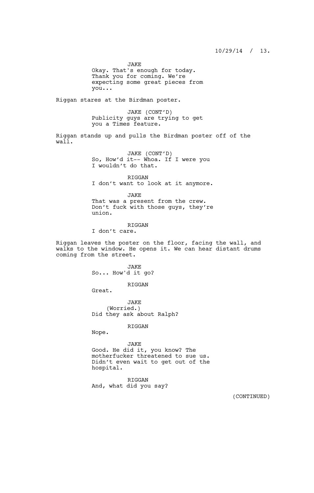JAKE Okay. That's enough for today. Thank you for coming. We're expecting some great pieces from you...

Riggan stares at the Birdman poster.

JAKE (CONT'D) Publicity guys are trying to get you a Times feature.

Riggan stands up and pulls the Birdman poster off of the wall.

> JAKE (CONT'D) So, How'd it-- Whoa. If I were you I wouldn't do that.

RIGGAN I don't want to look at it anymore.

JAKE That was a present from the crew. Don't fuck with those guys, they're union.

RIGGAN

I don't care.

Riggan leaves the poster on the floor, facing the wall, and walks to the window. He opens it. We can hear distant drums coming from the street.

> JAKE So... How'd it go?

> > RIGGAN

Great.

JAKE (Worried.) Did they ask about Ralph?

RIGGAN

Nope.

JAKE<br>Good. He did it, you know? The motherfucker threatened to sue us. Didn't even wait to get out of the hospital.

RIGGAN And, what did you say?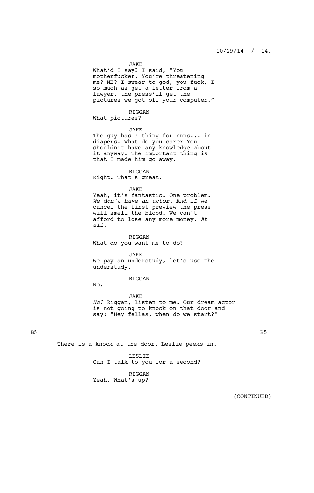JAKE What'd I say? I said, "You motherfucker. You're threatening me? ME? I swear to god, you fuck, I so much as get a letter from a lawyer, the press'll get the pictures we got off your computer."

RIGGAN What pictures?

JAKE

The guy has a thing for nuns... in diapers. What do you care? You shouldn't have any knowledge about it anyway. The important thing is that I made him go away.

RIGGAN

Right. That's great.

JAKE

Yeah, it's fantastic. One problem. *We don't have an actor.* And if we cancel the first preview the press will smell the blood. We can't afford to lose any more money. *At all.*

RIGGAN<br>What do you want me to do?

JAKE We pay an understudy, let's use the understudy.

RIGGAN

No.

JAKE *No?* Riggan, listen to me. Our dream actor is not going to knock on that door and say: "Hey fellas, when do we start?"

#### B5 B5

There is a knock at the door. Leslie peeks in.

LESLIE Can I talk to you for a second?

RIGGAN<br>Yeah. What's up?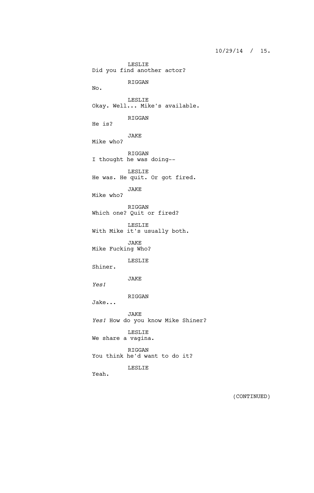LESLIE Did you find another actor? RIGGAN No. LESLIE Okay. Well... Mike's available. RIGGAN He is? JAKE Mike who? RIGGAN<br>I thought he was doing--LESLIE He was. He quit. Or got fired. JAKE Mike who? RIGGAN Which one? Quit or fired? LESLIE With Mike it's usually both. JAKE Mike Fucking Who? LESLIE Shiner. JAKE *Yes!* RIGGAN Jake... JAKE *Yes!* How do you know Mike Shiner? LESLIE We share a vagina. RIGGAN You think he'd want to do it? LESLIE Yeah.

(CONTINUED)

10/29/14 / 15.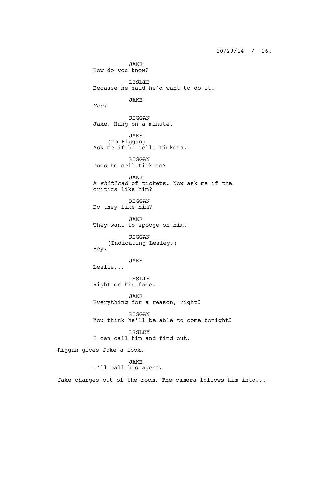10/29/14 / 16.

JAKE How do you know? LESLIE Because he said he'd want to do it. JAKE *Yes!* RIGGAN Jake. Hang on a minute. JAKE (to Riggan) Ask me if he sells tickets. RIGGAN Does he sell tickets? JAKE A *shitload* of tickets. Now ask me if the critics like him? RIGGAN Do they like him? JAKE They want to spooge on him. RIGGAN<br>(Indicating Lesley.) Hey. JAKE Leslie... LESLIE Right on his face. JAKE Everything for a reason, right? RIGGAN You think he'll be able to come tonight? LESLEY<br>I can call him and find out. Riggan gives Jake a look. JAKE I'll call his agent. Jake charges out of the room. The camera follows him into...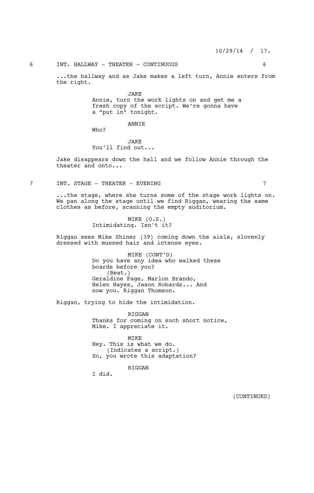### 6 INT. HALLWAY - THEATER - CONTINUOUS 6

...the hallway and as Jake makes a left turn, Annie enters from the right.

JAKE Annie, turn the work lights on and get me a fresh copy of the script. We're gonna have a "put in" tonight.

ANNIE

Who?

JAKE You'll find out...

Jake disappears down the hall and we follow Annie through the theater and onto...

7 INT. STAGE - THEATER - EVENING 7

...the stage, where she turns some of the stage work lights on. We pan along the stage until we find Riggan, wearing the same clothes as before, scanning the empty auditorium.

> MIKE (O.S.) Intimidating. Isn't it?

Riggan sees Mike Shiner (39) coming down the aisle, slovenly dressed with mussed hair and intense eyes.

MIKE (CONT'D) Do you have any idea who walked these boards before you? (Beat.) Geraldine Page, Marlon Brando, Helen Hayes, Jason Robards... And now you. Riggan Thomson.

Riggan, trying to hide the intimidation.

RIGGAN Thanks for coming on such short notice, Mike. I appreciate it.

MIKE Hey. This is what we do. (Indicates a script.) So, you wrote this adaptation?

### RIGGAN

I did.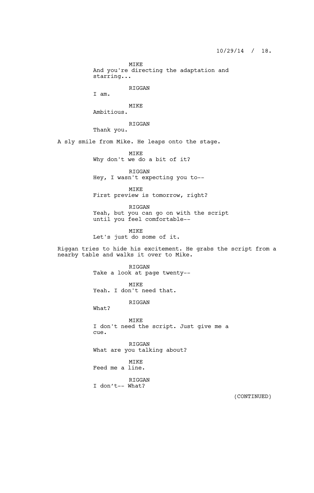MIKE And you're directing the adaptation and starring... RIGGAN I am. MTKE Ambitious. RIGGAN Thank you. A sly smile from Mike. He leaps onto the stage. MIKE Why don't we do a bit of it? RIGGAN Hey, I wasn't expecting you to-- MIKE First preview is tomorrow, right? RIGGAN Yeah, but you can go on with the script until you feel comfortable-- MIKE Let's just do some of it. Riggan tries to hide his excitement. He grabs the script from a nearby table and walks it over to Mike. RIGGAN Take a look at page twenty-- MIKE Yeah. I don't need that. RIGGAN What? MIKE I don't need the script. Just give me a cue. RIGGAN<br>What are you talking about? MIKE Feed me a line. RIGGAN I don't-- What? (CONTINUED)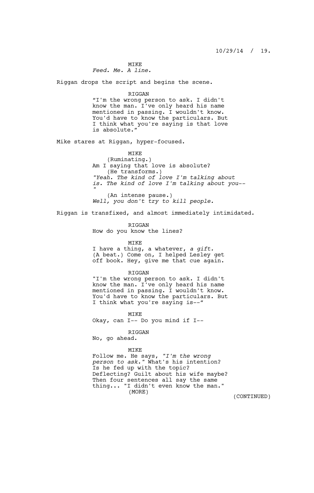MIKE *Feed. Me. A line.*

Riggan drops the script and begins the scene.

RIGGAN "I'm the wrong person to ask. I didn't know the man. I've only heard his name mentioned in passing. I wouldn't know. You'd have to know the particulars. But I think what you're saying is that love is absolute."

Mike stares at Riggan, hyper-focused.

MIKE (Ruminating.)

Am I saying that love is absolute? (He transforms.) *"Yeah. The kind of love I'm talking about is. The kind of love I'm talking about you-- "* (An intense pause.)

*Well, you don't try to kill people.*

Riggan is transfixed, and almost immediately intimidated.

RIGGAN

How do you know the lines?

MTKE.

I have a thing, a whatever, *a gift.*  (A beat.) Come on, I helped Lesley get off book. Hey, give me that cue again.

RIGGAN

"I'm the wrong person to ask. I didn't know the man. I've only heard his name mentioned in passing. I wouldn't know. You'd have to know the particulars. But I think what you're saying is--"

MTKE Okay, can I-- Do you mind if I--

RIGGAN

No, go ahead.

#### MIKE

Follow me. He says, *"I'm the wrong person to ask."* What's his intention? Is he fed up with the topic? Deflecting? Guilt about his wife maybe? Then four sentences all say the same thing... "I didn't even know the man."<br> $(MORE)$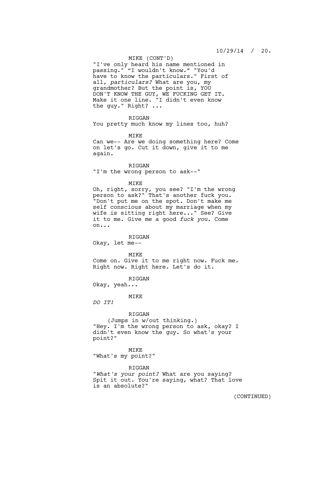MIKE (CONT'D)

"I've only heard his name mentioned in passing." "I wouldn't know." "You'd have to know the particulars." First of all, *particulars?* What are you, my grandmother? But the point is, YOU DON'T KNOW THE GUY, WE FUCKING GET IT. Make it one line. "I didn't even know the guy." Right? ...

RIGGAN

You pretty much know my lines too, huh?

MIKE

Can we-- Are we doing something here? Come on let's go. Cut it down, give it to me again.

RIGGAN "I'm the wrong person to ask--"

#### **MTKE**

Oh, right, sorry, you see? "I'm the wrong person to ask?" That's another fuck you. "Don't put me on the spot. Don't make me self conscious about my marriage when my wife is sitting right here..." See? Give it to me. Give me a good *fuck you*. Come on...

RIGGAN Okay, let me--

MIKE

Come on. Give it to me right now. Fuck me. Right now. Right here. Let's do it.

RIGGAN

Okay, yeah...

MIKE

*DO IT!*

RIGGAN

(Jumps in w/out thinking.) "Hey. I'm the wrong person to ask, okay? I didn't even know the guy. So what's your point?"

MIKE "What's my point?"

RIGGAN "*What's your point?* What are you saying? Spit it out. You're saying, what? That love is an absolute?"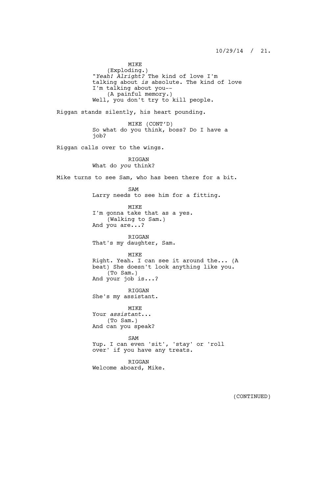10/29/14 / 21.

MIKE (Exploding.) "*Yeah! Alright?* The kind of love I'm talking about *is* absolute. The kind of love I'm talking about you-- (A painful memory.) Well, you don't try to kill people. Riggan stands silently, his heart pounding. MIKE (CONT'D) So what do you think, boss? Do I have a job? Riggan calls over to the wings. RIGGAN What do *you* think? Mike turns to see Sam, who has been there for a bit. SAM Larry needs to see him for a fitting. MIKE I'm gonna take that as a yes. (Walking to Sam.) And you are...? RIGGAN<br>That's my daughter, Sam. MIKE Right. Yeah. I can see it around the... (A beat) She doesn't look anything like you. (To Sam.) And your job is...? RIGGAN She's my assistant. MIKE Your *assistant*... (To Sam.) And can you speak? SAM Yup. I can even 'sit', 'stay' or 'roll over' if you have any treats. RIGGAN Welcome aboard, Mike.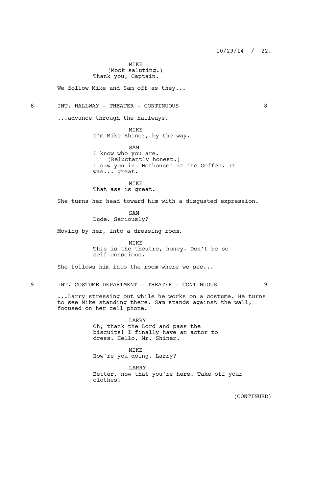MIKE (Mock saluting.) Thank you, Captain. We follow Mike and Sam off as they... 8 INT. HALLWAY - THEATER - CONTINUOUS 8 ...advance through the hallways. MIKE<br>I'm Mike Shiner, by the way. SAM<br>I know who you are. (Reluctantly honest.) I saw you in 'Hothouse' at the Geffen. It was... great. MIKE That ass is great. She turns her head toward him with a disgusted expression. **CAM** Dude. Seriously? Moving by her, into a dressing room. MIKE This is the theatre, honey. Don't be so self-conscious. She follows him into the room where we see... 9 INT. COSTUME DEPARTMENT - THEATER - CONTINUOUS 9 ...Larry stressing out while he works on a costume. He turns to see Mike standing there. Sam stands against the wall, focused on her cell phone. LARRY

Oh, thank the Lord and pass the biscuits! I finally have an actor to dress. Hello, Mr. Shiner.

MIKE How're you doing, Larry?

LARRY Better, now that you're here. Take off your clothes.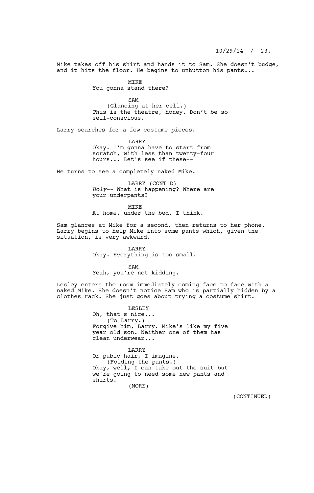10/29/14 / 23.

Mike takes off his shirt and hands it to Sam. She doesn't budge, and it hits the floor. He begins to unbutton his pants...

> MIKE You gonna stand there?

SAM (Glancing at her cell.) This is the theatre, honey. Don't be so self-conscious.

Larry searches for a few costume pieces.

LARRY Okay. I'm gonna have to start from scratch, with less than twenty-four hours... Let's see if these--

He turns to see a completely naked Mike.

LARRY (CONT'D) *Holy--* What is happening? Where are your underpants?

MIKE At home, under the bed, I think.

Sam glances at Mike for a second, then returns to her phone. Larry begins to help Mike into some pants which, given the situation, is very awkward.

> LARRY Okay. Everything is too small.

SAM Yeah, you're not kidding.

Lesley enters the room immediately coming face to face with a naked Mike. She doesn't notice Sam who is partially hidden by a clothes rack. She just goes about trying a costume shirt.

> LESLEY Oh, that's nice... (To Larry.) Forgive him, Larry. Mike's like my five year old son. Neither one of them has clean underwear...

> LARRY Or pubic hair, I imagine. (Folding the pants.) Okay, well, I can take out the suit but we're going to need some new pants and shirts.

(MORE)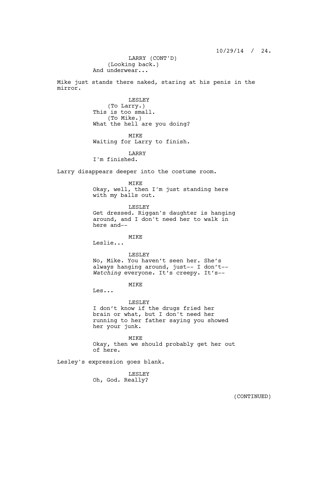(Looking back.) And underwear... Mike just stands there naked, staring at his penis in the mirror. LESLEY (To Larry.) This is too small. (To Mike.) What the hell are you doing? MIKE Waiting for Larry to finish. LARRY I'm finished. Larry disappears deeper into the costume room. **MTKE** Okay, well, then I'm just standing here with my balls out. LESLEY Get dressed. Riggan's daughter is hanging around, and I don't need her to walk in here and-- MIKE Leslie... LESLEY No, Mike. You haven't seen her. She's always hanging around, just-- I don't-- *Watching* everyone. It's creepy. It's-- MIKE Les... LESLEY I don't know if the drugs fried her brain or what, but I don't need her running to her father saying you showed her your junk. MIKE Okay, then we should probably get her out of here. Lesley's expression goes blank. LESLEY<br>Oh, God. Really? LARRY (CONT'D) (CONTINUED)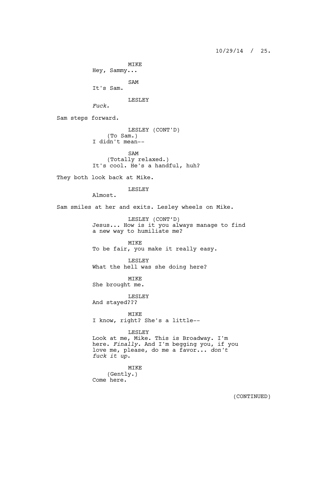10/29/14 / 25.

MIKE Hey, Sammy... SAM It's Sam. LESLEY *Fuck.* Sam steps forward. LESLEY (CONT'D) (To Sam.) I didn't mean-- SAM (Totally relaxed.) It's cool. He's a handful, huh? They both look back at Mike. LESLEY Almost. Sam smiles at her and exits. Lesley wheels on Mike. LESLEY (CONT'D) Jesus... How is it you always manage to find a new way to humiliate me? MIKE To be fair, you make it really easy. LESLEY What the hell was she doing here? MIKE She brought me. LESLEY And stayed??? MIKE I know, right? She's a little-- LESLEY Look at me, Mike. This is Broadway. I'm here. *Finally.* And I'm begging you, if you love me, please, do me a favor... *don't fuck it up*. MIKE<br>(Gently.) Come here.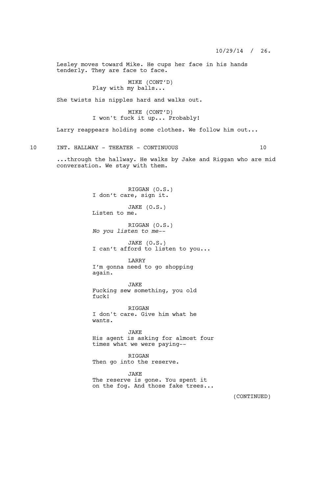Lesley moves toward Mike. He cups her face in his hands tenderly. They are face to face.

> MIKE (CONT'D) Play with my balls...

She twists his nipples hard and walks out.

MIKE (CONT'D) I won't fuck it up... Probably!

Larry reappears holding some clothes. We follow him out...

10 INT. HALLWAY - THEATER - CONTINUOUS 10

...through the hallway. He walks by Jake and Riggan who are mid conversation. We stay with them.

> RIGGAN (O.S.) I don't care, sign it. JAKE (O.S.) Listen to me. RIGGAN (O.S.) *No you listen to me--* JAKE (O.S.) I can't afford to listen to you... LARRY I'm gonna need to go shopping again. JAKE Fucking sew something, you old fuck! RIGGAN I don't care. Give him what he wants. JAKE His agent is asking for almost four times what we were paying--

RIGGAN Then go into the reserve.

JAKE The reserve is gone. You spent it on the fog. And those fake trees...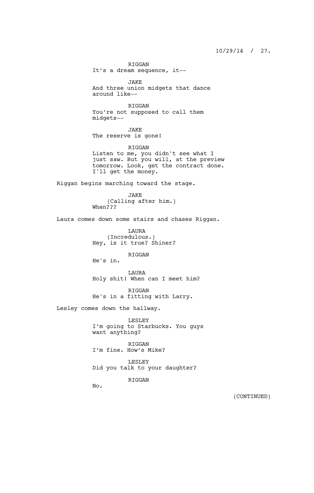RIGGAN It's a dream sequence, it-- JAKE And three union midgets that dance around like-- RIGGAN You're not supposed to call them midgets-- JAKE The reserve is gone! RIGGAN Listen to me, you didn't see what I just saw. But you will, at the preview tomorrow. Look, get the contract done. I'll get the money. Riggan begins marching toward the stage. JAKE (Calling after him.) When??? Laura comes down some stairs and chases Riggan. LAURA (Incredulous.) Hey, is it true? Shiner? RIGGAN He's in. LAURA Holy shit! When can I meet him? RIGGAN He's in a fitting with Larry. Lesley comes down the hallway. LESLEY I'm going to Starbucks. You guys want anything? RIGGAN<br>I'm fine. How's Mike? LESLEY Did you talk to your daughter? RIGGAN No.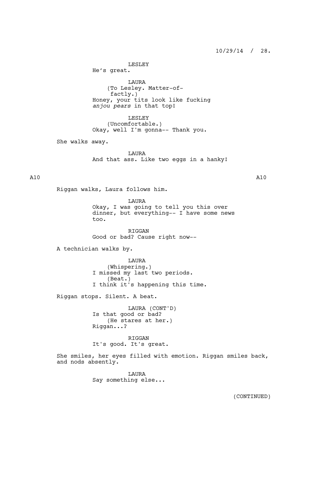10/29/14 / 28.

LESLEY He's great. LAURA (To Lesley. Matter-offactly.) Honey, your tits look like fucking *anjou pears* in that top! LESLEY (Uncomfortable.) Okay, well I'm gonna-- Thank you. She walks away. LAURA And that ass. Like two eggs in a hanky! A10 A10 Riggan walks, Laura follows him. LAURA Okay, I was going to tell you this over dinner, but everything-- I have some news too. RIGGAN Good or bad? Cause right now-- A technician walks by. LAURA (Whispering.) I missed my last two periods. (Beat.) I think it's happening this time. Riggan stops. Silent. A beat. LAURA (CONT'D) Is that good or bad? (He stares at her.) Riggan...? RIGGAN It's good. It's great. She smiles, her eyes filled with emotion. Riggan smiles back, and nods absently. LAURA Say something else...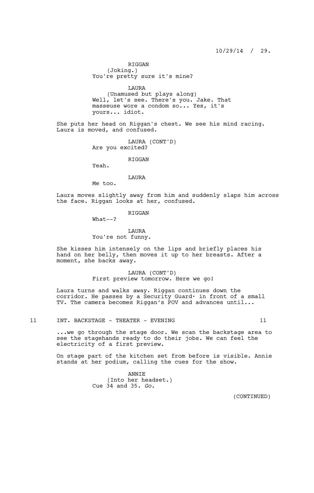10/29/14 / 29.

RIGGAN (Joking.) You're pretty sure it's mine?

LAURA (Unamused but plays along) Well, let's see. There's you. Jake. That masseuse wore a condom so... Yes, it's yours... idiot.

She puts her head on Riggan's chest. We see his mind racing. Laura is moved, and confused.

> LAURA (CONT'D) Are you excited?

> > RIGGAN

Yeah.

LAURA Me too.

Laura moves slightly away from him and suddenly slaps him across the face. Riggan looks at her, confused.

RIGGAN

What--?

LAURA You're not funny.

She kisses him intensely on the lips and briefly places his hand on her belly, then moves it up to her breasts. After a moment, she backs away.

> LAURA (CONT'D) First preview tomorrow. Here we go!

Laura turns and walks away. Riggan continues down the corridor. He passes by a Security Guard· in front of a small TV. The camera becomes Riggan's POV and advances until...

11 INT. BACKSTAGE - THEATER - EVENING 11

...we go through the stage door. We scan the backstage area to see the stagehands ready to do their jobs. We can feel the electricity of a first preview.

On stage part of the kitchen set from before is visible. Annie stands at her podium, calling the cues for the show.

> ANNIE<br>(Into her headset.) Cue 34 and 35. *Go.*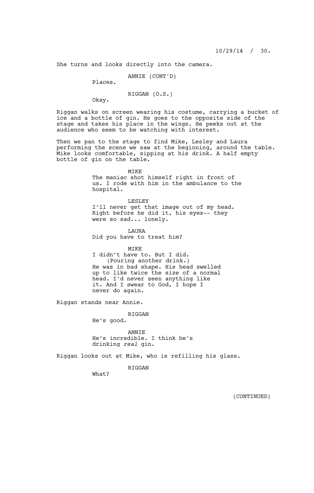She turns and looks directly into the camera.

ANNIE (CONT'D)

Places.

RIGGAN (O.S.)

Okay.

Riggan walks on screen wearing his costume, carrying a bucket of ice and a bottle of gin. He goes to the opposite side of the stage and takes his place in the wings. He peeks out at the audience who seem to be watching with interest.

Then we pan to the stage to find Mike, Lesley and Laura performing the scene we saw at the beginning, around the table. Mike looks comfortable, sipping at his drink. A half empty bottle of gin on the table.

MIKE The maniac shot himself right in front of us. I rode with him in the ambulance to the hospital.

LESLEY I'll never get that image out of my head. Right before he did it, his eyes-- they were so sad... lonely.

LAURA Did you have to treat him?

**MTKE** 

I didn't have to. But I did. (Pouring another drink.) He was in bad shape. His head swelled up to like twice the size of a normal head. I'd never seen anything like it. And I swear to God, I hope I never do again.

Riggan stands near Annie.

RIGGAN

He's good.

ANNIE He's incredible. I think he's drinking *real* gin.

Riggan looks out at Mike, who is refilling his glass.

RIGGAN What?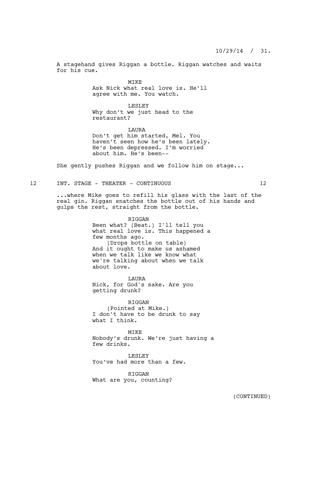A stagehand gives Riggan a bottle. Riggan watches and waits for his cue.

> MIKE Ask Nick what real love is. He'll agree with me. You watch.

LESLEY Why don't we just head to the restaurant?

LAURA Don't get him started, Mel. You haven't seen how he's been lately. He's been depressed. I'm worried about him. He's been--

She gently pushes Riggan and we follow him on stage...

### 12 INT. STAGE - THEATER - CONTINUOUS 12

...where Mike goes to refill his glass with the last of the real gin. Riggan snatches the bottle out of his hands and gulps the rest, straight from the bottle.

> RIGGAN Been what? (Beat.) I'll tell you what real love is. This happened a few months ago. (Drops bottle on table) And it ought to make us ashamed when we talk like we know what we're talking about when we talk about love.

LAURA Nick, for God's sake. Are you getting drunk?

RIGGAN (Pointed at Mike.) I don't have to be drunk to say what I think.

MIKE Nobody's drunk. We're just having a few drinks.

LESLEY<br>You've had more than a few.

RIGGAN<br>What are you, counting?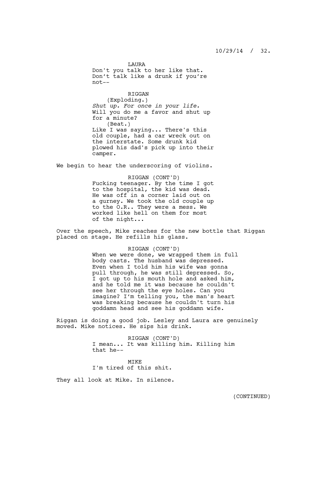LAURA Don't you talk to her like that. Don't talk like a drunk if you're not--

RIGGAN (Exploding.) *Shut up. For once in your life.*  Will you do me a favor and shut up for a minute? (Beat.) Like I was saying... There's this old couple, had a car wreck out on the interstate. Some drunk kid plowed his dad's pick up into their camper.

We begin to hear the underscoring of violins.

RIGGAN (CONT'D) Fucking teenager. By the time I got to the hospital, the kid was dead. He was off in a corner laid out on a gurney. We took the old couple up to the O.R.. They were a mess. We worked like hell on them for most of the night...

Over the speech, Mike reaches for the new bottle that Riggan placed on stage. He refills his glass.

> RIGGAN (CONT'D) When we were done, we wrapped them in full body casts. The husband was depressed. Even when I told him his wife was gonna pull through, he was still depressed. So, I got up to his mouth hole and asked him, and he told me it was because he couldn't see her through the eye holes. Can you imagine? I'm telling you, the man's heart was breaking because he couldn't turn his goddamn head and see his goddamn wife.

Riggan is doing a good job. Lesley and Laura are genuinely moved. Mike notices. He sips his drink.

> RIGGAN (CONT'D) I mean... It was killing him. Killing him that he--

MIKE I'm tired of this shit.

They all look at Mike. In silence.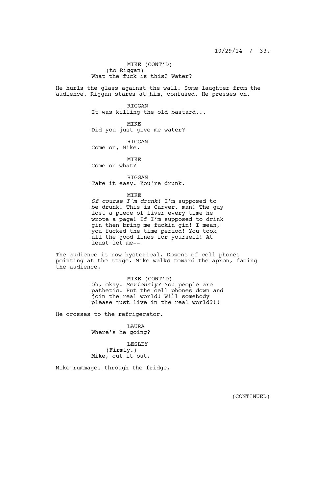MIKE (CONT'D) (to Riggan) What the fuck is this? Water?

He hurls the glass against the wall. Some laughter from the audience. Riggan stares at him, confused. He presses on.

> RIGGAN It was killing the old bastard...

MIKE Did you just give me water?

RIGGAN Come on, Mike.

MIKE Come on what?

RIGGAN Take it easy. You're drunk.

MIKE

*Of course I'm drunk!* I'm supposed to be drunk! This is Carver, man! The guy lost a piece of liver every time he wrote a page! If I'm supposed to drink gin then bring me fuckin gin! I mean, you fucked the time period! You took all the good lines for yourself! At least let me--

The audience is now hysterical. Dozens of cell phones pointing at the stage. Mike walks toward the apron, facing the audience.

> MIKE (CONT'D) Oh, okay. *Seriously?* You people are pathetic. Put the cell phones down and join the real world! Will somebody please just live in the real world?!!

He crosses to the refrigerator.

LAURA Where's he going?

LESLEY<br>(Firmly.) Mike, cut it out.

Mike rummages through the fridge.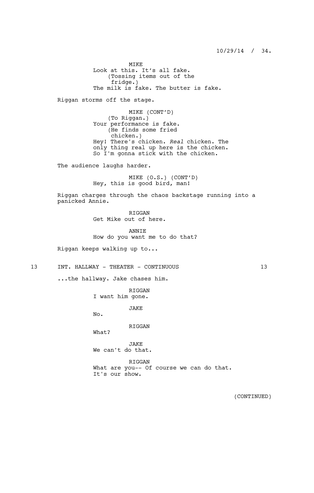10/29/14 / 34.

MIKE Look at this. It's all fake. (Tossing items out of the fridge.) The milk is fake. The butter is fake. Riggan storms off the stage. MIKE (CONT'D) (To Riggan.) Your performance is fake. (He finds some fried chicken.) Hey! There's chicken. *Real* chicken. The only thing real up here is the chicken. So I'm gonna stick with the chicken. The audience laughs harder. MIKE (O.S.) (CONT'D)<br>Hey, this is good bird, man! Riggan charges through the chaos backstage running into a panicked Annie. RIGGAN Get Mike out of here. ANNIE How do you want me to do that? Riggan keeps walking up to... 13 INT. HALLWAY - THEATER - CONTINUOUS 13 ...the hallway. Jake chases him. RIGGAN I want him gone. JAKE No. RIGGAN What? JAKE We can't do that. RIGGAN What are you-- Of course we can do that. It's our show.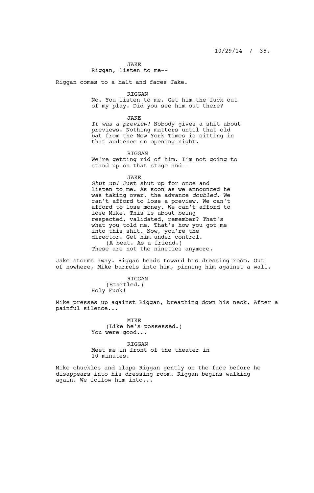JAKE Riggan, listen to me--

Riggan comes to a halt and faces Jake.

RIGGAN<br>No. You listen to me. Get him the fuck out of my play. Did you see him out there?

JAKE *It was a preview!* Nobody gives a shit about previews. Nothing matters until that old bat from the New York Times is sitting in that audience on opening night.

RIGGAN We're getting rid of him. I'm not going to stand up on that stage and--

JAKE

*Shut up!* Just shut up for once and listen to me. As soon as we announced he was taking over, the advance *doubled.* We can't afford to lose a preview. We can't afford to lose money. We can't afford to lose Mike. This is about being respected, validated, remember? That's what you told me. That's how you got me into this shit. Now, you're the director. Get him under control. (A beat. As a friend.) These are not the nineties anymore.

Jake storms away. Riggan heads toward his dressing room. Out of nowhere, Mike barrels into him, pinning him against a wall.

> RIGGAN (Startled.) Holy Fuck!

Mike presses up against Riggan, breathing down his neck. After a painful silence...

> **MIKE** (Like he's possessed.) You were good...

RIGGAN<br>Meet me in front of the theater in 10 minutes.

Mike chuckles and slaps Riggan gently on the face before he disappears into his dressing room. Riggan begins walking again. We follow him into...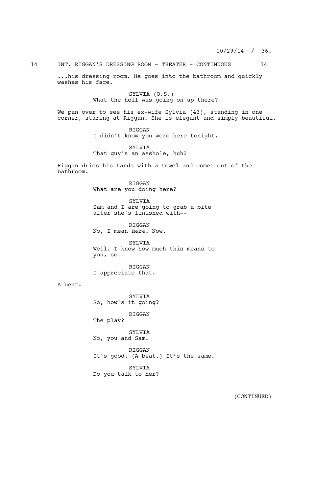10/29/14 / 36.

14 INT. RIGGAN'S DRESSING ROOM - THEATER - CONTINUOUS 14

...his dressing room. He goes into the bathroom and quickly washes his face.

> SYLVIA (O.S.) What the hell was going on up there?

We pan over to see his ex-wife Sylvia (43), standing in one corner, staring at Riggan. She is elegant and simply beautiful.

RIGGAN I didn't know you were here tonight.

SYLVIA That guy's an asshole, huh?

Riggan dries his hands with a towel and comes out of the bathroom.

> RIGGAN What are you doing here?

SYLVIA Sam and I are going to grab a bite after she's finished with--

RIGGAN No, I mean *here*. Now.

SYLVIA Well. I know how much this means to you, so--

RIGGAN I appreciate that.

A beat.

SYLVIA So, how's it going? RIGGAN The play?

SYLVIA No, you and Sam.

RIGGAN<br>It's good. (A beat.) It's the same.

SYLVIA Do you talk to her?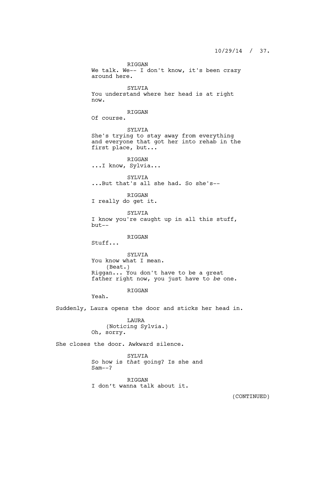10/29/14 / 37.

RIGGAN We talk. We-- I don't know, it's been crazy around here. SYLVIA You understand where her head is at right now. RIGGAN Of course. SYLVIA She's trying to stay away from everything and everyone that got her into rehab in the first place, but... RIGGAN ...I know, Sylvia... SYLVIA ...But that's all she had. So she's-- RIGGAN I really do get it. SYLVIA I know you're caught up in all this stuff, but-- RIGGAN Stuff... SYLVIA You know what I mean. (Beat.) Riggan... You don't have to be a great father right now, you just have to *be* one. RIGGAN Yeah. Suddenly, Laura opens the door and sticks her head in. LAURA (Noticing Sylvia.) Oh, sorry. She closes the door. Awkward silence. SYLVIA So how is *that* going? Is she and Sam--? RIGGAN I don't wanna talk about it.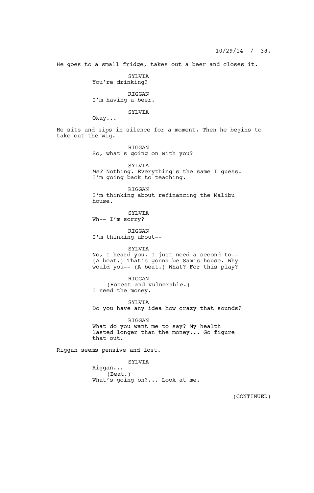10/29/14 / 38.

He goes to a small fridge, takes out a beer and closes it.

SYLVIA You're drinking?

RIGGAN<br>I'm having a beer.

SYLVIA

Okay...

He sits and sips in silence for a moment. Then he begins to take out the wig.

> RIGGAN So, what's going on with you?

> > SYLVIA

*Me?* Nothing. Everything's the same I guess. I'm going back to teaching.

RIGGAN I'm thinking about refinancing the Malibu house.

SYLVIA

Wh-- I'm sorry?

RIGGAN I'm thinking about--

SYLVIA

No, I heard you. I just need a second to-- (A beat.) That's gonna be Sam's house. Why would you-- (A beat.) What? For this play?

RIGGAN (Honest and vulnerable.) I need the money.

SYLVIA Do you have any idea how crazy that sounds?

RIGGAN What do you want me to say? My health lasted longer than the money... Go figure that out.

Riggan seems pensive and lost.

SYLVIA

Riggan... (Beat.) What's going on?... Look at me.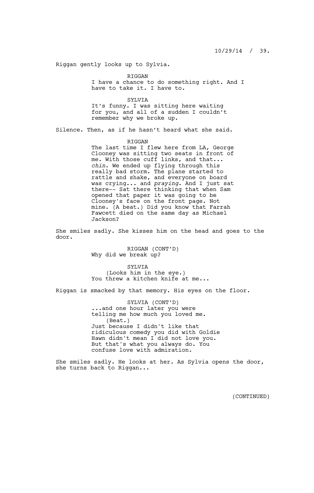Riggan gently looks up to Sylvia.

RIGGAN I have a chance to do something right. And I have to take it. I have to.

SYLVIA It's funny. I was sitting here waiting for you, and all of a sudden I couldn't remember why we broke up.

Silence. Then, as if he hasn't heard what she said.

#### RIGGAN

The last time I flew here from LA, George Clooney was sitting two seats in front of me. With those cuff links, and that... *chin*. We ended up flying through this really bad storm. The plane started to rattle and shake, and everyone on board was crying... and *praying*. And I just sat there-- Sat there thinking that when Sam opened that paper it was going to be Clooney's face on the front page. Not mine. (A beat.) Did you know that Farrah Fawcett died on the same day as Michael Jackson?

She smiles sadly. She kisses him on the head and goes to the door.

> RIGGAN (CONT'D) Why did we break up?

SYLVIA (Looks him in the eye.) You threw a kitchen knife at me...

Riggan is smacked by that memory. His eyes on the floor.

SYLVIA (CONT'D) ...and one hour later you were telling me how much you loved me. (Beat.) Just because I didn't like that ridiculous comedy you did with Goldie Hawn didn't mean I did not love you. But that's what you always do. You confuse love with admiration.

She smiles sadly. He looks at her. As Sylvia opens the door, she turns back to Riggan...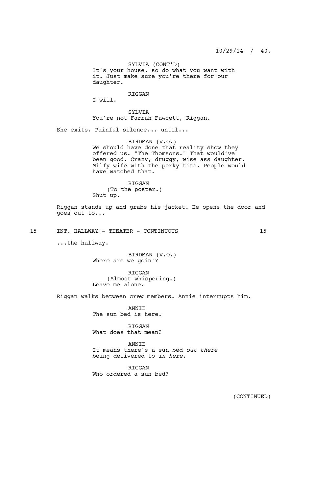10/29/14 / 40.

SYLVIA (CONT'D) It's your house, so do what you want with it. Just make sure you're there for our daughter.

RIGGAN I will.

SYLVIA You're not Farrah Fawcett, Riggan.

She exits. Painful silence... until...

BIRDMAN (V.O.) We should have done that reality show they offered us. "The Thomsons." That would've been good. Crazy, druggy, wise ass daughter. Milfy wife with the perky tits. People would have watched that.

RIGGAN (To the poster.) Shut up.

Riggan stands up and grabs his jacket. He opens the door and goes out to...

15 INT. HALLWAY - THEATER - CONTINUOUS 15

...the hallway.

BIRDMAN (V.O.) Where are we goin'?

RIGGAN (Almost whispering.) Leave me alone.

Riggan walks between crew members. Annie interrupts him.

ANNIE The sun bed is here.

**RIGGAN** What does that mean?

ANNIE It means there's a sun bed *out there* being delivered to *in here*.

RIGGAN Who ordered a sun bed?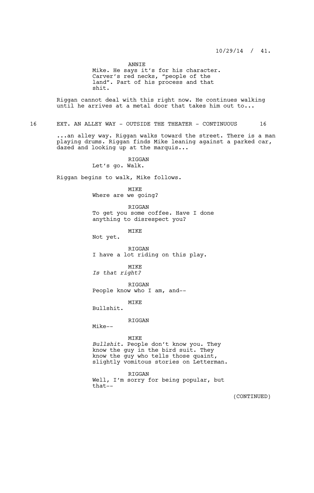ANNIE Mike. He says it's for his character. Carver's red necks, "people of the land". Part of his process and that shit.

Riggan cannot deal with this right now. He continues walking until he arrives at a metal door that takes him out to...

# 16 EXT. AN ALLEY WAY - OUTSIDE THE THEATER - CONTINUOUS 16

...an alley way. Riggan walks toward the street. There is a man playing drums. Riggan finds Mike leaning against a parked car, dazed and looking up at the marquis...

RIGGAN

Let's go. Walk.

Riggan begins to walk, Mike follows.

MIKE Where are we going?

RIGGAN To get you some coffee. Have I done anything to disrespect you?

MIKE

Not yet.

RIGGAN I have a lot riding on this play.

MIKE *Is that right?*

RIGGAN People know who I am, and--

MIKE

Bullshit.

RIGGAN

Mike--

MIKE *Bullshit.* People don't know you. They know the guy in the bird suit. They know the guy who tells those quaint, slightly vomitous stories on Letterman.

RIGGAN Well, I'm sorry for being popular, but that--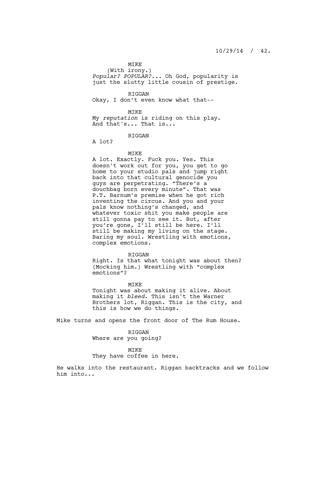MIKE

(With irony.) *Popular? POPULAR?...* Oh God, popularity is just the slutty little cousin of prestige.

RIGGAN<br>Okay, I don't even know what that--

MIKE My *reputation* is riding on this play. And that's... That is...

**RIGGAN** 

A lot?

### MIKE

A lot. Exactly. Fuck you. Yes. This doesn't work out for you, you get to go home to your studio pals and jump right back into that cultural genocide you guys are perpetrating. "There's a douchbag born every minute". That was P.T. Barnum's premise when he got rich inventing the circus. And you and your pals know nothing's changed, and whatever toxic shit you make people are still gonna pay to see it. But, after you're gone, I'll still be here. I'll still be making my living on the stage. Baring my soul. Wrestling with emotions, complex emotions.

#### RIGGAN

Right. Is that what tonight was about then? (Mocking him.) Wrestling with "complex emotions"?

#### MIKE

Tonight was about making it alive. About making it *bleed*. This isn't the Warner Brothers lot, Riggan. This is the city, and this is how we do things.

Mike turns and opens the front door of The Rum House.

RIGGAN Where are you going?

# MIKE

They have coffee in here.

He walks into the restaurant. Riggan backtracks and we follow him into...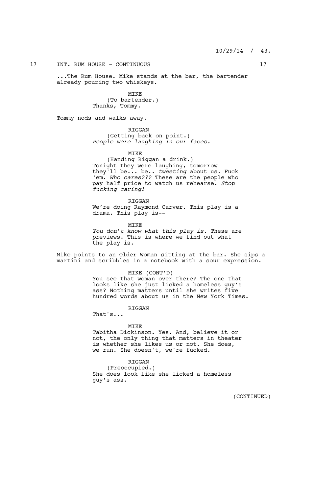#### 17 INT. RUM HOUSE - CONTINUOUS 17

...The Rum House. Mike stands at the bar, the bartender already pouring two whiskeys.

> MIKE<br>(To bartender.) Thanks, Tommy.

Tommy nods and walks away.

RIGGAN (Getting back on point.) *People were laughing in our faces.*

MIKE

(Handing Riggan a drink.) Tonight they were laughing, tomorrow they'll be... be.. *tweeting* about us. Fuck 'em. *Who cares???* These are the people who pay half price to watch us rehearse. *Stop fucking caring!*

**RIGGAN** We're doing Raymond Carver. This play is a drama. This play is--

MIKE *You don't know what this play is.* These are previews. This is where we find out what the play is.

Mike points to an Older Woman sitting at the bar. She sips a martini and scribbles in a notebook with a sour expression.

MIKE (CONT'D)

You see that woman over there? The one that looks like she just licked a homeless guy's ass? Nothing matters until she writes five hundred words about us in the New York Times.

**DICCAN** 

That's...

**MTKE** 

Tabitha Dickinson. Yes. And, believe it or not, the only thing that matters in theater is whether she likes us or not. She does, we run. She doesn't, we're fucked.

RIGGAN

(Preoccupied.) She does look like she licked a homeless guy's ass.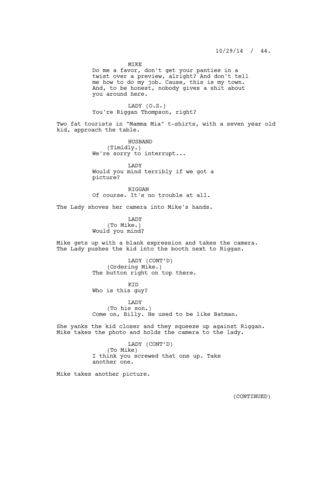10/29/14 / 44.

MIKE

Do me a favor, don't get your panties in a twist over a preview, alright? And don't tell me how to do my job. Cause, this is my town. And, to be honest, nobody gives a shit about you around here.

LADY (O.S.) You're Riggan Thompson, right?

Two fat tourists in "Mamma Mia" t-shirts, with a seven year old kid, approach the table.

> HUSBAND (Timidly.) We're sorry to interrupt...

LADY Would you mind terribly if we got a picture?

RIGGAN Of course. It's no trouble at all.

The Lady shoves her camera into Mike's hands.

LADY (To Mike.) Would you mind?

Mike gets up with a blank expression and takes the camera. The Lady pushes the kid into the booth next to Riggan.

> LADY (CONT'D) (Ordering Mike.) The button right on top there.

KID Who is this guy?

LADY (To his son.) Come on, Billy. He used to be like Batman.

She yanks the kid closer and they squeeze up against Riggan. Mike takes the photo and holds the camera to the lady.

> LADY (CONT'D) (To Mike) I think you screwed that one up. Take another one.

Mike takes another picture.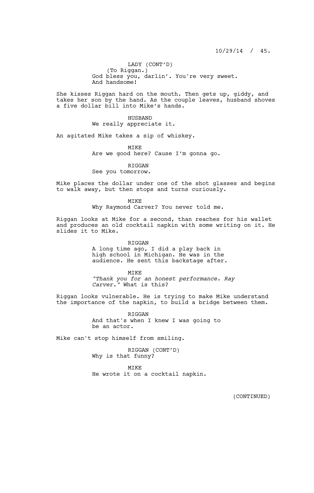10/29/14 / 45.

LADY (CONT'D) (To Riggan.) God bless you, darlin'. You're very sweet. And handsome!

She kisses Riggan hard on the mouth. Then gets up, giddy, and takes her son by the hand. As the couple leaves, husband shoves a five dollar bill into Mike's hands.

> HUSBAND We really appreciate it.

An agitated Mike takes a sip of whiskey.

MIKE Are we good here? Cause I'm gonna go.

RIGGAN See you tomorrow.

Mike places the dollar under one of the shot glasses and begins to walk away, but then stops and turns curiously.

MIKE

Why Raymond Carver? You never told me.

Riggan looks at Mike for a second, than reaches for his wallet and produces an old cocktail napkin with some writing on it. He slides it to Mike.

> **RIGGAN** A long time ago, I did a play back in high school in Michigan. He was in the audience. He sent this backstage after.

MIKE *"Thank you for an honest performance. Ray Carver."* What is this?

Riggan looks vulnerable. He is trying to make Mike understand the importance of the napkin, to build a bridge between them.

> **RIGGAN** And that's when I knew I was going to be an actor.

Mike can't stop himself from smiling.

RIGGAN (CONT'D) Why is that funny?

MIKE<br>He wrote it on a cocktail napkin.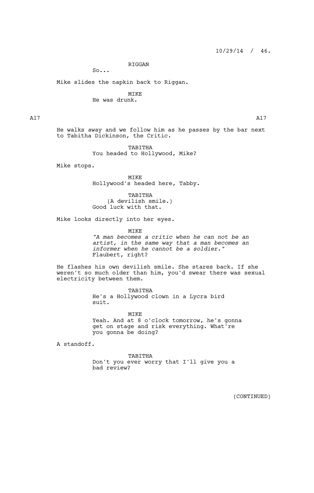10/29/14 / 46.

RIGGAN

 $So...$ 

Mike slides the napkin back to Riggan.

MIKE He was drunk.

A17 A17

He walks away and we follow him as he passes by the bar next to Tabitha Dickinson, the Critic.

TABITHA<br>You headed to Hollywood, Mike?

Mike stops.

MIKE Hollywood's headed here, Tabby.

TABITHA (A devilish smile.) Good luck with that.

Mike looks directly into her eyes.

MIKE *"A man becomes a critic when he can not be an artist, in the same way that a man becomes an informer when he cannot be a soldier."* Flaubert, right?

He flashes his own devilish smile. She stares back. If she weren't so much older than him, you'd swear there was sexual electricity between them.

> TABITHA He's a Hollywood clown in a Lycra bird suit.

MIKE Yeah. And at 8 o'clock tomorrow, he's gonna get on stage and risk everything. What're you gonna be doing?

A standoff.

TABITHA Don't you ever worry that I'll give you a bad review?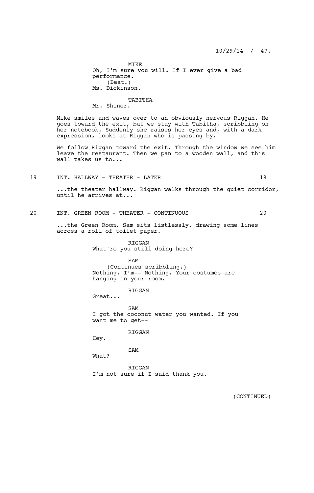10/29/14 / 47.

MIKE Oh, I'm sure you will. If I ever give a bad performance. (Beat.) Ms. Dickinson.

### TABITHA

Mr. Shiner.

Mike smiles and waves over to an obviously nervous Riggan. He goes toward the exit, but we stay with Tabitha, scribbling on her notebook. Suddenly she raises her eyes and, with a dark expression, looks at Riggan who is passing by.

We follow Riggan toward the exit. Through the window we see him leave the restaurant. Then we pan to a wooden wall, and this wall takes us to...

# 19 INT. HALLWAY – THEATER – LATER 19

...the theater hallway. Riggan walks through the quiet corridor, until he arrives at...

# 20 INT. GREEN ROOM - THEATER - CONTINUOUS 20

...the Green Room. Sam sits listlessly, drawing some lines across a roll of toilet paper.

> RIGGAN What're you still doing here?

SAM (Continues scribbling.) Nothing. I'm-- Nothing. Your costumes are hanging in your room.

RIGGAN

Great...

SAM I got the coconut water you wanted. If you want me to get--

RIGGAN

Hey.

SAM

What?

RIGGAN I'm not sure if I said thank you.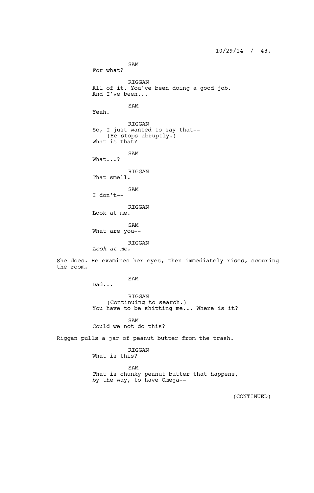10/29/14 / 48.

SAM For what? RIGGAN All of it. You've been doing a good job. And I've been... SAM Yeah. RIGGAN So, I just wanted to say that-- (He stops abruptly.) What is that? SAM What...? RIGGAN That smell. SAM I don't-- RIGGAN Look at me. SAM What are you-- RIGGAN *Look at me.* She does. He examines her eyes, then immediately rises, scouring the room. SAM Dad... RIGGAN (Continuing to search.) You have to be shitting me... Where is it? SAM Could we not do this? Riggan pulls a jar of peanut butter from the trash. RIGGAN What is this? SAM That is chunky peanut butter that happens, by the way, to have Omega-- (CONTINUED)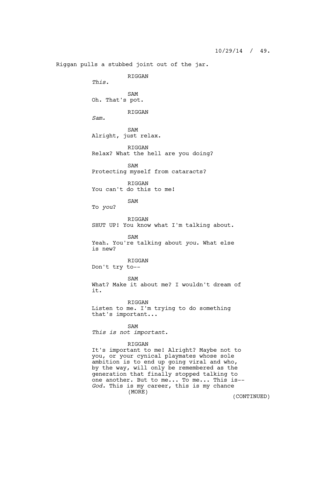Riggan pulls a stubbed joint out of the jar. RIGGAN *This.* SAM Oh. That's pot. RIGGAN *Sam.* SAM Alright, just relax. RIGGAN Relax? What the hell are you doing? SAM Protecting myself from cataracts? RIGGAN You can't do this to me! SAM To *you*? RIGGAN SHUT UP! You know what I'm talking about. SAM Yeah. You're talking about *you*. What else is new? RIGGAN Don't try to-- SAM What? Make it about me? I wouldn't dream of it. RIGGAN Listen to me. I'm trying to do something that's important... SAM *This is not important.* RIGGAN It's important to me! Alright? Maybe not to you, or your cynical playmates whose sole ambition is to end up going viral and who, by the way, will only be remembered as the generation that finally stopped talking to one another. But to me... To me... This is-- *God.* This is my career, this is my chance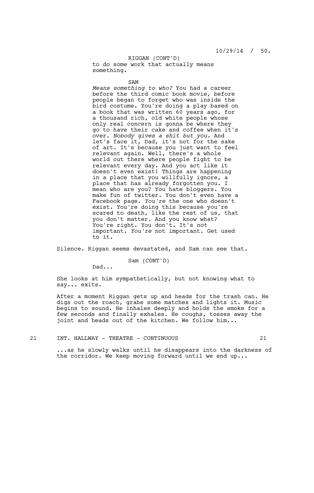to do some work that actually means something. RIGGAN (CONT'D)

SAM

*Means something to who?* You had a career before the third comic book movie, before people began to forget who was inside the bird costume. You're doing a play based on a book that was written 60 years ago, for a thousand rich, old white people whose only real concern is gonna be where they go to have their cake and coffee when it's over. *Nobody gives a shit but you.* And let's face it, Dad, it's not for the sake of art. It's because you just want to feel relevant again. Well, there's a whole world out there where people fight to be relevant every day. And you act like it doesn't even exist! Things are happening in a place that you willfully ignore, a place that has already forgotten you. I mean who are you? You hate bloggers. You make fun of twitter. You don't even have a Facebook page. *You're* the one who doesn't exist. You're doing this because you're scared to death, like the rest of us, that you don't matter. And you know what? You're right. You don't. It's *not* important. *You're* not important. Get used to it.

Silence. Riggan seems devastated, and Sam can see that.

Sam (CONT'D)

Dad...

She looks at him sympathetically, but not knowing what to say... exits.

After a moment Riggan gets up and heads for the trash can. He digs out the roach, grabs some matches and lights it. Music begins to sound. He inhales deeply and holds the smoke for a few seconds and finally exhales. He coughs, tosses away the joint and heads out of the kitchen. We follow him...

## 21 INT. HALLWAY - THEATRE - CONTINUOUS 21 21

...as he slowly walks until he disappears into the darkness of the corridor. We keep moving forward until we end up...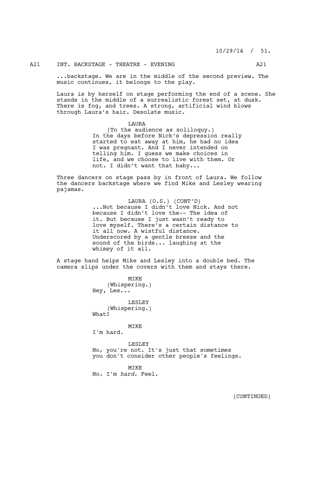10/29/14 / 51.

### A21 INT. BACKSTAGE - THEATRE - EVENING A21

...backstage. We are in the middle of the second preview. The music continues, it belongs to the play.

Laura is by herself on stage performing the end of a scene. She stands in the middle of a surrealistic forest set, at dusk. There is fog, and trees. A strong, artificial wind blows through Laura's hair. Desolate music.

> **T.AURA** (To the audience as soliloquy.) In the days before Nick's depression really started to eat away at him, he had no idea I was pregnant. And I never intended on telling him. I guess we make choices in life, and we choose to live with them. Or not. I didn't want that baby...

Three dancers on stage pass by in front of Laura. We follow the dancers backstage where we find Mike and Lesley wearing pajamas.

> LAURA (O.S.) (CONT'D) ...Not because I didn't love Nick. And not because I didn't love the-- The idea of it. But because I just wasn't ready to love myself. There's a certain distance to it all now. A wistful distance. Underscored by a gentle breeze and the sound of the birds... laughing at the whimsy of it all.

A stage hand helps Mike and Lesley into a double bed. The camera slips under the covers with them and stays there.

MIKE (Whispering.) Hey, Les... LESLEY (Whispering.) What? MTKE

I'm hard.

LESLEY No, you're not. It's just that sometimes you don't consider other people's feelings.

MIKE<br>No. I'm *hard*. Feel.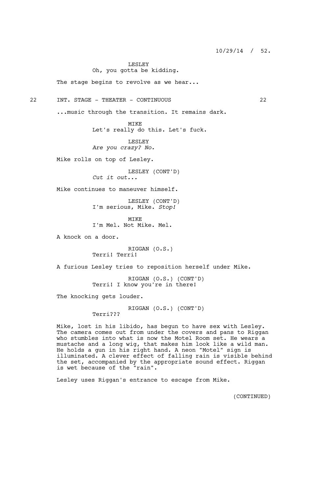LESLEY Oh, you gotta be kidding. The stage begins to revolve as we hear... 22 INT. STAGE - THEATER - CONTINUOUS 22 ...music through the transition. It remains dark. MTKE Let's really do this. Let's fuck. LESLEY *Are you crazy? No.*  Mike rolls on top of Lesley. LESLEY (CONT'D) *Cut it out...* Mike continues to maneuver himself. LESLEY (CONT'D) I'm serious, Mike. *Stop!* MIKE I'm Mel. Not Mike. Mel. A knock on a door. RIGGAN (O.S.) Terri! Terri! A furious Lesley tries to reposition herself under Mike. RIGGAN (O.S.) (CONT'D) Terri! I know you're in there! The knocking gets louder. RIGGAN (O.S.) (CONT'D) Terri???

> Mike, lost in his libido, has begun to have sex with Lesley. The camera comes out from under the covers and pans to Riggan who stumbles into what is now the Motel Room set. He wears a mustache and a long wig, that makes him look like a wild man. He holds a gun in his right hand. A neon "Motel" sign is illuminated. A clever effect of falling rain is visible behind the set, accompanied by the appropriate sound effect. Riggan is wet because of the "rain".

Lesley uses Riggan's entrance to escape from Mike.

(CONTINUED)

10/29/14 / 52.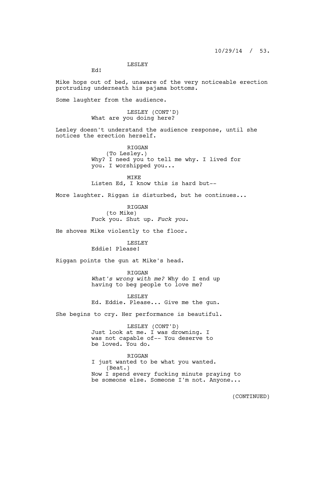LESLEY

Mike hops out of bed, unaware of the very noticeable erection protruding underneath his pajama bottoms.

Some laughter from the audience.

Ed!

LESLEY (CONT'D) What are you doing here?

Lesley doesn't understand the audience response, until she notices the erection herself.

> RIGGAN (To Lesley.) Why? I need you to tell me why. I lived for you. I worshipped you...

MIKE Listen Ed, I know this is hard but--

More laughter. Riggan is disturbed, but he continues...

RIGGAN (to Mike) Fuck you. Shut up. *Fuck you*.

He shoves Mike violently to the floor.

LESLEY Eddie! Please!

Riggan points the gun at Mike's head.

RIGGAN

*What's wrong with me?* Why do I end up having to beg people to love me?

LESLEY

Ed. Eddie. Please... Give me the gun.

She begins to cry. Her performance is beautiful.

LESLEY (CONT'D) Just look at me. I was drowning. I was not capable of-- You deserve to be loved. You do.

RIGGAN I just wanted to be what you wanted. (Beat.) Now I spend every fucking minute praying to be someone else. Someone I'm not. Anyone...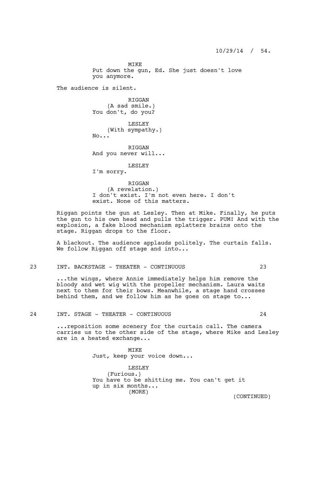MIKE Put down the gun, Ed. She just doesn't love you anymore. The audience is silent. RIGGAN (A sad smile.) You don't, do you? LESLEY (With sympathy.) No... RIGGAN And you never will... LESLEY I'm sorry. RIGGAN (A revelation.) I don't exist. I'm not even here. I don't exist. None of this matters.

Riggan points the gun at Lesley. Then at Mike. Finally, he puts the gun to his own head and pulls the trigger. PUM! And with the explosion, a fake blood mechanism splatters brains onto the stage. Riggan drops to the floor.

A blackout. The audience applauds politely. The curtain falls. We follow Riggan off stage and into...

# 23 INT. BACKSTAGE - THEATER - CONTINUOUS 23

...the wings, where Annie immediately helps him remove the bloody and wet wig with the propeller mechanism. Laura waits next to them for their bows. Meanwhile, a stage hand crosses behind them, and we follow him as he goes on stage to...

#### 24 INT. STAGE - THEATER - CONTINUOUS 24

...reposition some scenery for the curtain call. The camera carries us to the other side of the stage, where Mike and Lesley are in a heated exchange...

> MIKE Just, keep your voice down...

LESLEY (Furious.) You have to be shitting me. You can't get it up in six months...<br>(MORE)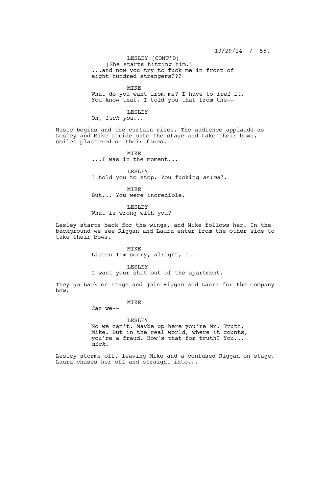10/29/14 / 55.

(She starts hitting him.) ...and now you try to fuck me in front of eight hundred strangers??? LESLEY (CONT'D)

MIKE<br>What do you want from me? I have to feel it. You know that. I told you that from the--

LESLEY Oh, *fuck you*...

Music begins and the curtain rises. The audience applauds as Lesley and Mike stride onto the stage and take their bows, smiles plastered on their faces.

> MIKE ...I was in the moment...

LESLEY I told you to stop. You fucking *animal*.

MTK<sub>E</sub> But... You were incredible.

LESLEY What is wrong with you?

Lesley starts back for the wings, and Mike follows her. In the background we see Riggan and Laura enter from the other side to take their bows.

> MIKE Listen I'm sorry, alright, I--

LESLEY I want your shit out of the apartment.

They go back on stage and join Riggan and Laura for the company bow.

MIKE

Can we--

LESLEY No we can't. Maybe up here you're Mr. Truth, Mike. But in the real world, where it counts, you're a fraud. How's that for truth? You... *dick*.

Lesley storms off, leaving Mike and a confused Riggan on stage. Laura chases her off and straight into...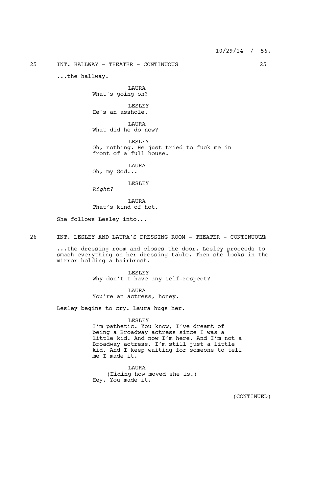25 INT. HALLWAY - THEATER - CONTINUOUS 25 ...the hallway.

> LAURA What's going on?

LESLEY<br>.He's an asshole

**T.AURA** What did he do now?

LESLEY Oh, nothing. He just tried to fuck me in front of a full house.

LAURA

Oh, my God...

LESLEY

*Right?*

LAURA That's kind of hot.

She follows Lesley into...

26 INT. LESLEY AND LAURA'S DRESSING ROOM - THEATER - CONTINUOUS26

...the dressing room and closes the door. Lesley proceeds to smash everything on her dressing table. Then she looks in the mirror holding a hairbrush.

> LESLEY Why don't I have any self-respect?

LAURA You're an actress, honey.

Lesley begins to cry. Laura hugs her.

LESLEY

I'm pathetic. You know, I've dreamt of being a Broadway actress since I was a little kid. And now I'm here. And I'm not a Broadway actress. I'm still just a little kid. And I keep waiting for someone to tell me I made it.

LAURA (Hiding how moved she is.) Hey. You made it.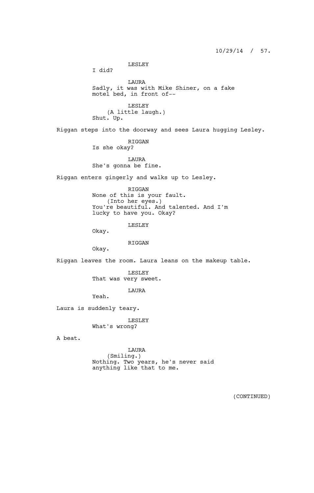10/29/14 / 57.

LESLEY I did? LAURA Sadly, it was with Mike Shiner, on a fake motel bed, in front of-- LESLEY (A little laugh.) Shut. Up. Riggan steps into the doorway and sees Laura hugging Lesley. RIGGAN Is she okay? LAURA She's gonna be fine. Riggan enters gingerly and walks up to Lesley. RIGGAN None of this is your fault. (Into her eyes.) You're beautiful. And talented. And I'm lucky to have you. Okay? LESLEY Okay. RIGGAN Okay. Riggan leaves the room. Laura leans on the makeup table. LESLEY That was very sweet. LAURA Yeah. Laura is suddenly teary. LESLEY What's wrong? A beat. LAURA (Smiling.) Nothing. Two years, he's never said anything like that to me.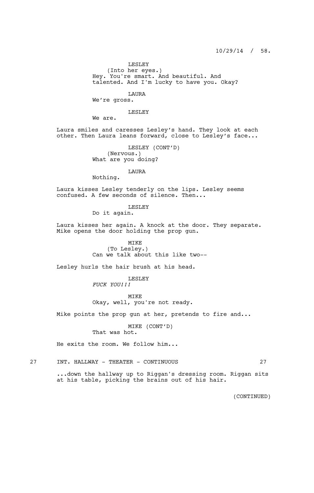10/29/14 / 58.

LESLEY (Into her eyes.) Hey. You're smart. And beautiful. And talented. And I'm lucky to have you. Okay?

LAURA We're gross.

LESLEY

We are.

Laura smiles and caresses Lesley's hand. They look at each other. Then Laura leans forward, close to Lesley's face...

> LESLEY (CONT'D) (Nervous.) What are you doing?

> > LAURA

Nothing.

Laura kisses Lesley tenderly on the lips. Lesley seems confused. A few seconds of silence. Then...

> LESLEY Do it again.

Laura kisses her again. A knock at the door. They separate. Mike opens the door holding the prop gun.

> **MTKE** (To Lesley.) Can we talk about this like two--

Lesley hurls the hair brush at his head.

LESLEY *FUCK YOU!!!*

MIKE

Okay, well, you're not ready.

Mike points the prop gun at her, pretends to fire and...

MIKE (CONT'D)

That was hot.

He exits the room. We follow him...

27 INT. HALLWAY - THEATER - CONTINUOUS 27

...down the hallway up to Riggan's dressing room. Riggan sits at his table, picking the brains out of his hair.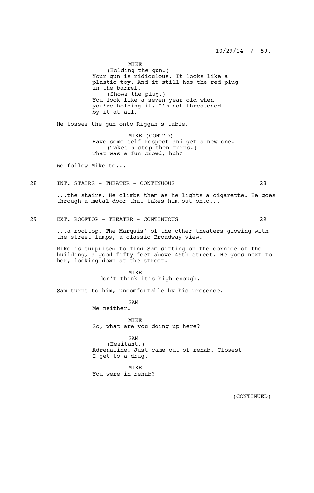10/29/14 / 59.

MIKE (Holding the gun.) Your gun is ridiculous. It looks like a plastic toy. And it still has the red plug in the barrel. (Shows the plug.) You look like a seven year old when you're holding it. I'm not threatened by it at all.

He tosses the gun onto Riggan's table.

MIKE (CONT'D) Have some self respect and get a new one. (Takes a step then turns.) That was a fun crowd, huh?

We follow Mike to...

### 28 INT. STAIRS - THEATER - CONTINUOUS 28

...the stairs. He climbs them as he lights a cigarette. He goes through a metal door that takes him out onto...

### 29 EXT. ROOFTOP - THEATER - CONTINUOUS 29

...a rooftop. The Marquis' of the other theaters glowing with the street lamps, a classic Broadway view.

Mike is surprised to find Sam sitting on the cornice of the building, a good fifty feet above 45th street. He goes next to her, looking down at the street.

> MIKE I don't think it's high enough.

Sam turns to him, uncomfortable by his presence.

SAM Me neither. MIKE So, what are you doing up here?

SAM (Hesitant.) Adrenaline. Just came out of rehab. Closest I get to a drug.

MIKE You were in rehab?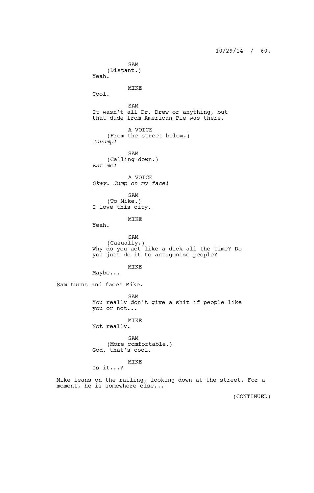10/29/14 / 60.

SAM (Distant.) Yeah. MIKE Cool. SAM It wasn't all Dr. Drew or anything, but that dude from American Pie was there. A VOICE (From the street below.) *Juuump!* SAM (Calling down.) *Eat me!* A VOICE *Okay. Jump on my face!* SAM (To Mike.) I love this city. MIKE Yeah. SAM<br>(Casually.) Why do you act like a dick all the time? Do you just do it to antagonize people? MIKE Maybe... Sam turns and faces Mike. SAM You really don't give a shit if people like you or not... MIKE Not really. SAM (More comfortable.) God, that's cool. MIKE Is it...? Mike leans on the railing, looking down at the street. For a moment, he is somewhere else... (CONTINUED)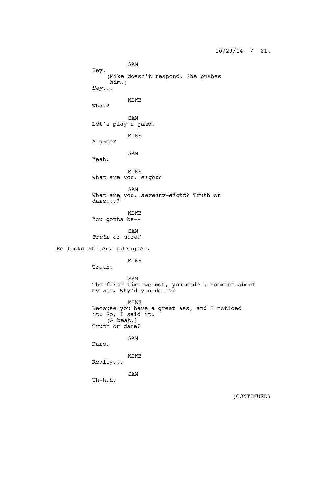SAM Hey. (Mike doesn't respond. She pushes him.) *Hey...* MIKE What? SAM Let's play a game. MIKE A game? SAM Yeah. MIKE What are you, *eight*? SAM What are you, *seventy-eight*? Truth or dare...? MIKE You gotta be-- SAM *Truth or dare?* He looks at her, intrigued. MIKE Truth. SAM The first time we met, you made a comment about my ass. Why'd you do it? MIKE Because you have a great ass, and I noticed it. So, I said it. (A beat.) Truth or dare? SAM Dare. MIKE Really... SAM Uh-huh.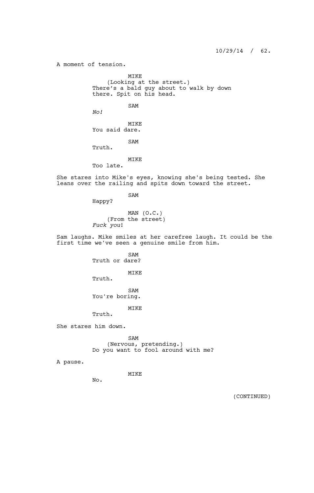A moment of tension.

MIKE (Looking at the street.) There's a bald guy about to walk by down there. Spit on his head.

SAM

*No!*

**MTKE** You said dare.

Truth.

MIKE

SAM

Too late.

She stares into Mike's eyes, knowing she's being tested. She leans over the railing and spits down toward the street.

SAM Happy?

MAN (O.C.) (From the street) *Fuck you*!

Sam laughs. Mike smiles at her carefree laugh. It could be the first time we've seen a genuine smile from him.

SAM Truth or dare? MIKE Truth.

SAM You're boring.

MIKE Truth.

She stares him down.

SAM (Nervous, pretending.) Do you want to fool around with me?

A pause.

MIKE No.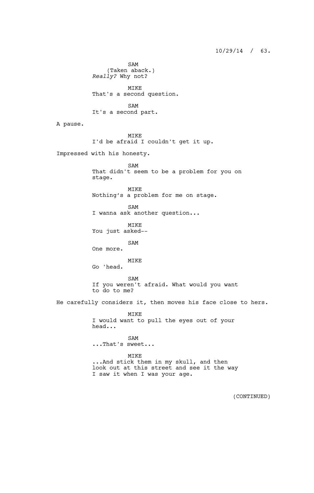10/29/14 / 63.

SAM (Taken aback.) *Really?* Why not? MIKE That's a second question. SAM It's a second part. A pause. MIKE I'd be afraid I couldn't get it up. Impressed with his honesty. SAM That didn't seem to be a problem for you on stage. MIKE Nothing's a problem for me on stage. SAM I wanna ask another question... MIKE You just asked-- SAM One more. MIKE Go 'head. SAM If you weren't afraid. What would you want to do to me? He carefully considers it, then moves his face close to hers. MIKE I would want to pull the eyes out of your head... SAM ...That's sweet... MIKE ...And stick them in my skull, and then look out at this street and see it the way I saw it when I was your age.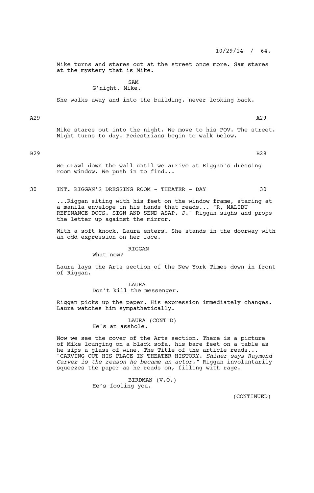Mike turns and stares out at the street once more. Sam stares at the mystery that is Mike.

> SAM G'night, Mike.

She walks away and into the building, never looking back.

A29 A29

Mike stares out into the night. We move to his POV. The street. Night turns to day. Pedestrians begin to walk below.

B29 B29

We crawl down the wall until we arrive at Riggan's dressing room window. We push in to find...

30 INT. RIGGAN'S DRESSING ROOM - THEATER - DAY 30

...Riggan siting with his feet on the window frame, staring at a manila envelope in his hands that reads... "R, MALIBU REFINANCE DOCS. SIGN AND SEND ASAP. J." Riggan sighs and props the letter up against the mirror.

With a soft knock, Laura enters. She stands in the doorway with an odd expression on her face.

RIGGAN

What now?

Laura lays the Arts section of the New York Times down in front of Riggan.

> LAURA Don't kill the messenger.

Riggan picks up the paper. His expression immediately changes. Laura watches him sympathetically.

LAURA (CONT'D)

He's an asshole.

Now we see the cover of the Arts section. There is a picture of Mike lounging on a black sofa, his bare feet on a table as he sips a glass of wine. The Title of the article reads... "CARVING OUT HIS PLACE IN THEATER HISTORY. *Shiner says Raymond Carver is the reason he became an actor."* Riggan involuntarily squeezes the paper as he reads on, filling with rage.

> BIRDMAN (V.O.) He's fooling you.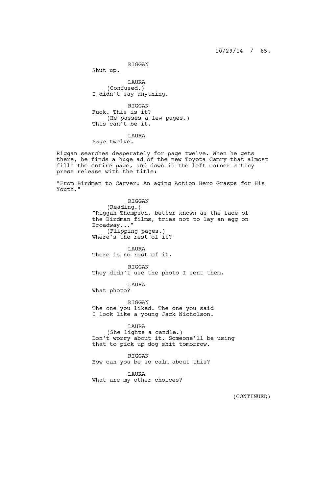10/29/14 / 65.

RIGGAN

Shut up.

LAURA (Confused.) I didn't say anything.

RIGGAN Fuck. This is it? (He passes a few pages.) This can't be it.

**T.AURA** 

Page twelve.

Riggan searches desperately for page twelve. When he gets there, he finds a huge ad of the new Toyota Camry that almost fills the entire page, and down in the left corner a tiny press release with the title:

"From Birdman to Carver: An aging Action Hero Grasps for His Youth."

> RIGGAN (Reading.) "Riggan Thompson, better known as the face of the Birdman films, tries not to lay an egg on Broadway..." (Flipping pages.) Where's the rest of it?

T. ATTRA

There is no rest of it.

RIGGAN They didn't use the photo I sent them.

LAURA What photo?

RIGGAN The one you liked. The one you said I look like a young Jack Nicholson.

**T.AURA** (She lights a candle.) Don't worry about it. Someone'll be using that to pick up dog shit tomorrow.

RIGGAN How can you be so calm about this?

LAURA<br>What are my other choices?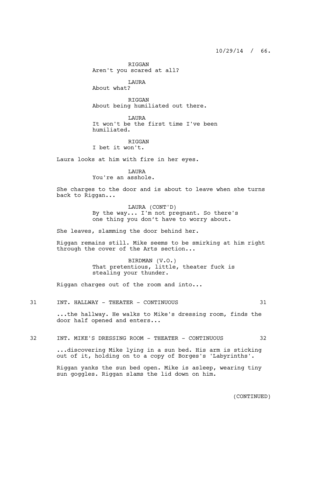10/29/14 / 66.

RIGGAN Aren't you scared at all?

LAURA About what?

RIGGAN About being humiliated out there.

LAURA It won't be the first time I've been humiliated.

RIGGAN I bet it won't.

Laura looks at him with fire in her eyes.

**T.ATIRA** You're an asshole.

She charges to the door and is about to leave when she turns back to Riggan...

> LAURA (CONT'D) By the way... I'm not pregnant. So there's one thing you don't have to worry about.

She leaves, slamming the door behind her.

Riggan remains still. Mike seems to be smirking at him right through the cover of the Arts section...

> BIRDMAN (V.O.) That pretentious, little, theater fuck is stealing your thunder.

Riggan charges out of the room and into...

# 31 INT. HALLWAY - THEATER - CONTINUOUS 31

...the hallway. He walks to Mike's dressing room, finds the door half opened and enters...

32 INT. MIKE'S DRESSING ROOM - THEATER - CONTINUOUS 32

...discovering Mike lying in a sun bed. His arm is sticking out of it, holding on to a copy of Borges's 'Labyrinths'.

Riggan yanks the sun bed open. Mike is asleep, wearing tiny sun goggles. Riggan slams the lid down on him.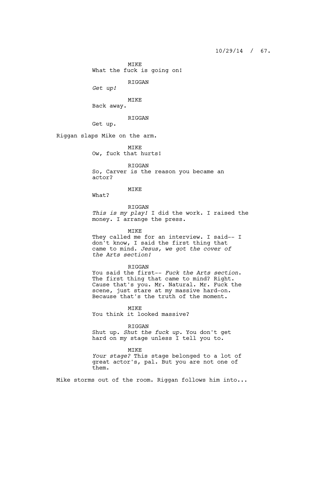MIKE What the fuck is going on! RIGGAN *Get up!* MIKE Back away. RIGGAN Get up. Riggan slaps Mike on the arm. MIKE Ow, fuck that hurts! RIGGAN So, Carver is the reason you became an actor? MIKE What? RIGGAN *This is my play!* I did the work. I raised the money. I arrange the press. MIKE They called me for an interview. I said-- I don't know, I said the first thing that came to mind. *Jesus, we got the cover of the Arts section!* RIGGAN

You said the first-- *Fuck the Arts section*. The first thing that came to mind? Right. Cause that's you. Mr. Natural. Mr. Fuck the scene, just stare at my massive hard-on. Because that's the truth of the moment.

**MTVF** 

You think it looked massive?

RIGGAN Shut up. *Shut the fuck up.* You don't get hard on my stage unless I tell you to.

#### MIKE

*Your stage?* This stage belonged to a lot of great actor's, pal. But you are not one of them.

Mike storms out of the room. Riggan follows him into...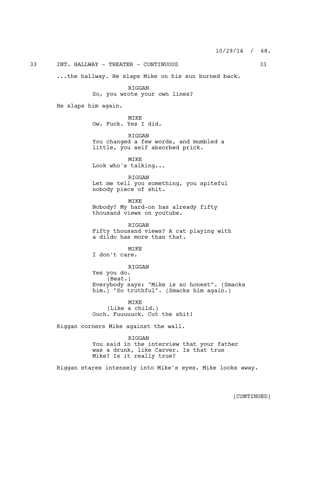33 INT. HALLWAY - THEATER - CONTINUOUS 33 ...the hallway. He slaps Mike on his sun burned back. RIGGAN So, you wrote your own lines? He slaps him again. MIKE Ow. Fuck. Yes I did. RIGGAN You changed a few words, and mumbled a little, you self absorbed prick. MIKE Look who's talking... RIGGAN Let me tell you something, you spiteful nobody piece of shit. MIKE Nobody? My hard-on has already fifty thousand views on youtube. RIGGAN Fifty thousand views? A cat playing with a dildo has more than that. **MTKE** I don't care. RIGGAN Yes you do. (Beat.) Everybody says: "Mike is so honest". (Smacks him.) "So truthful". (Smacks him again.) MIKE (Like a child.) Ouch. Fuuuuuck. Cut the shit! Riggan corners Mike against the wall. RIGGAN You said in the interview that your father was a drunk, like Carver. Is that true Mike? Is it really true? Riggan stares intensely into Mike's eyes. Mike looks away. (CONTINUED)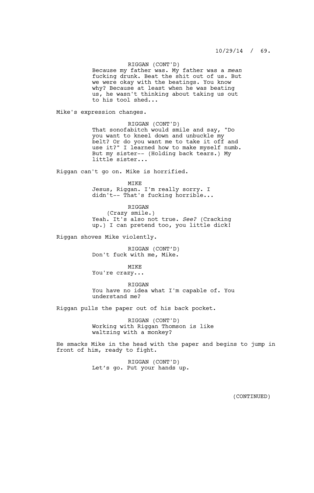#### RIGGAN (CONT'D)

Because my father was. My father was a *mean* fucking drunk. Beat the shit out of us. But we were okay with the beatings. You know why? Because at least when he was beating us, he wasn't thinking about taking us out to his tool shed...

Mike's expression changes.

RIGGAN (CONT'D) That sonofabitch would smile and say, "Do you want to kneel down and unbuckle my belt? Or do you want me to take it off and use it?" I learned how to make myself numb. But my sister-- (Holding back tears.) My little sister...

Riggan can't go on. Mike is horrified.

**MTKE** 

Jesus, Riggan. I'm really sorry. I didn't-- That's fucking horrible...

RIGGAN (Crazy smile.) Yeah. It's also not true. See? (Cracking up.) I can pretend too, you little dick!

Riggan shoves Mike violently.

RIGGAN (CONT'D) Don't fuck with me, Mike.

MIKE You're crazy...

RIGGAN You have no idea what I'm capable of. You understand me?

Riggan pulls the paper out of his back pocket.

RIGGAN (CONT'D) Working with Riggan Thomson is like waltzing with a monkey?

He smacks Mike in the head with the paper and begins to jump in front of him, ready to fight.

> RIGGAN (CONT'D) Let's go. Put your hands up.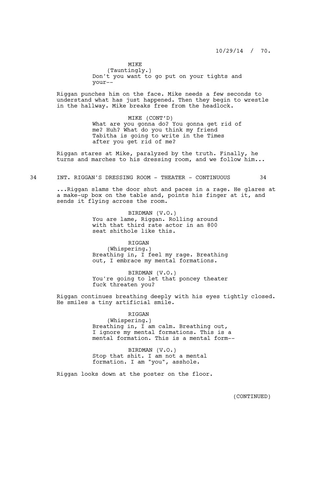10/29/14 / 70.

MIKE (Tauntingly.) Don't you want to go put on your tights and your--

Riggan punches him on the face. Mike needs a few seconds to understand what has just happened. Then they begin to wrestle in the hallway. Mike breaks free from the headlock.

> MIKE (CONT'D) What are you gonna do? You gonna get rid of me? Huh? What do you think my friend Tabitha is going to write in the Times after you get rid of me?

Riggan stares at Mike, paralyzed by the truth. Finally, he turns and marches to his dressing room, and we follow him...

34 INT. RIGGAN'S DRESSING ROOM - THEATER - CONTINUOUS 34

...Riggan slams the door shut and paces in a rage. He glares at a make-up box on the table and, points his finger at it, and sends it flying across the room.

> BIRDMAN (V.O.) You are lame, Riggan. Rolling around with that third rate actor in an 800 seat shithole like this.

**RIGGAN** (Whispering.) Breathing in, I feel my rage. Breathing out, I embrace my mental formations.

BIRDMAN (V.O.) You're going to let that poncey theater fuck threaten you?

Riggan continues breathing deeply with his eyes tightly closed. He smiles a tiny artificial smile.

> RIGGAN (Whispering.) Breathing in, I am calm. Breathing out, I ignore my mental formations. This is a mental formation. This is a mental form--

BIRDMAN (V.O.) Stop that shit. I am not a mental formation. I am "you", asshole.

Riggan looks down at the poster on the floor.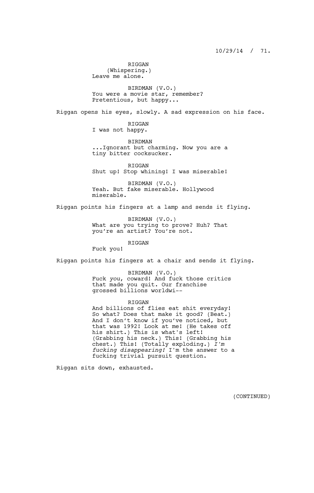10/29/14 / 71.

RIGGAN (Whispering.) Leave me alone.

BIRDMAN (V.O.) You were a movie star, remember? Pretentious, but happy...

Riggan opens his eyes, slowly. A sad expression on his face.

**RIGGAN** I was not happy.

BIRDMAN ...Ignorant but charming. Now you are a tiny bitter cocksucker.

RIGGAN Shut up! Stop whining! I was miserable!

BIRDMAN (V.O.) Yeah. But fake miserable. Hollywood miserable.

Riggan points his fingers at a lamp and sends it flying.

BIRDMAN (V.O.) What are you trying to prove? Huh? That you're an artist? You're not.

RIGGAN

Fuck you!

Riggan points his fingers at a chair and sends it flying.

BIRDMAN (V.O.) Fuck *you*, coward! And fuck those critics that made you quit. Our franchise grossed billions worldwi--

RIGGAN

And billions of flies eat shit everyday! So what? Does that make it good? (Beat.) And I don't know if you've noticed, but that was 1992! Look at me! (He takes off his shirt.) This is what's left! (Grabbing his neck.) This! (Grabbing his<br>chest.) This! (Totally exploding.) *I'm<br>fucking disappearing!* I'm the answer to a fucking trivial pursuit question.

Riggan sits down, exhausted.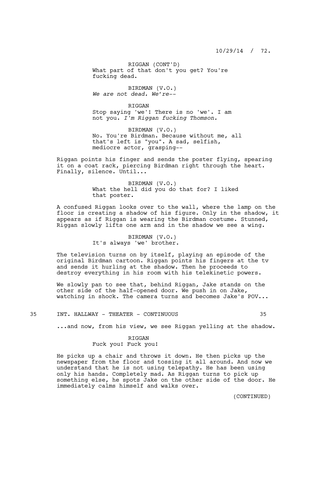10/29/14 / 72.

RIGGAN (CONT'D) What part of that don't you get? You're fucking dead.

BIRDMAN (V.O.) *We are not dead. We're--*

**RIGGAN** Stop saying 'we'! There is no 'we'. I am not you. *I'm Riggan fucking Thomson.*

BIRDMAN (V.O.) No. You're Birdman. Because without me, all that's left is "you". A sad, selfish, mediocre actor, grasping--

Riggan points his finger and sends the poster flying, spearing it on a coat rack, piercing Birdman right through the heart. Finally, silence. Until...

> BIRDMAN (V.O.) What the hell did you do that for? I liked that poster.

A confused Riggan looks over to the wall, where the lamp on the floor is creating a shadow of his figure. Only in the shadow, it appears as if Riggan is wearing the Birdman costume. Stunned, Riggan slowly lifts one arm and in the shadow we see a wing.

> BIRDMAN (V.O.) It's always 'we' brother.

The television turns on by itself, playing an episode of the original Birdman cartoon. Riggan points his fingers at the tv and sends it hurling at the shadow. Then he proceeds to destroy everything in his room with his telekinetic powers.

We slowly pan to see that, behind Riggan, Jake stands on the other side of the half-opened door. We push in on Jake, watching in shock. The camera turns and becomes Jake's POV...

35 INT. HALLWAY - THEATER - CONTINUOUS 35

...and now, from his view, we see Riggan yelling at the shadow.

RIGGAN

Fuck you! Fuck you!

He picks up a chair and throws it down. He then picks up the newspaper from the floor and tossing it all around. And now we understand that he is not using telepathy. He has been using only his hands. Completely mad. As Riggan turns to pick up something else, he spots Jake on the other side of the door. He immediately calms himself and walks over.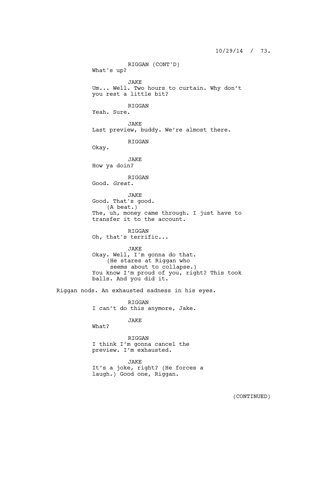RIGGAN (CONT'D) What's up? JAKE Um... Well. Two hours to curtain. Why don't you rest a little bit? RIGGAN Yeah. Sure. JAKE Last preview, buddy. We're almost there. RIGGAN Okay. JAKE How ya doin? RIGGAN Good. *Great.* JAKE Good. That's good. (A beat.) The, uh, money came through. I just have to transfer it to the account. RIGGAN Oh, that's terrific... JAKE Okay. Well, I'm gonna do that. (He stares at Riggan who seems about to collapse.) You know I'm proud of you, right? This took balls. And you did it. Riggan nods. An exhausted sadness in his eyes. RIGGAN I can't do this anymore, Jake. JAKE What? RIGGAN I think I'm gonna cancel the preview. I'm exhausted. JAKE It's a joke, right? (He forces a laugh.) Good one, Riggan.

(CONTINUED)

10/29/14 / 73.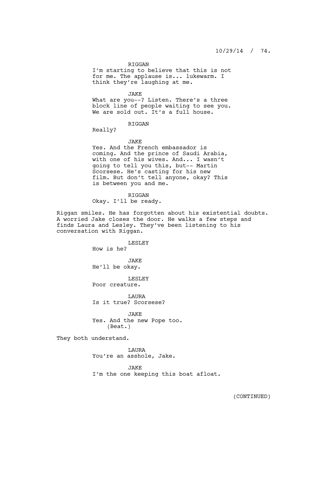RIGGAN

I'm starting to believe that this is not for me. The applause is... lukewarm. I think they're laughing at me.

JAKE What are you--? Listen. There's a three block line of people waiting to see you. We are sold out. It's a full house.

**RIGGAN** Really?

JAKE Yes. And the French embassador is coming. And the prince of Saudi Arabia, with one of his wives. And... I wasn't going to tell you this, but-- Martin Scorsese. He's casting for his new film. But don't tell anyone, okay? This is between you and me.

RIGGAN Okay. I'll be ready.

Riggan smiles. He has forgotten about his existential doubts. A worried Jake closes the door. He walks a few steps and finds Laura and Lesley. They've been listening to his conversation with Riggan.

> LESLEY How is he? JAKE He'll be okay. LESLEY Poor creature.

LAURA Is it true? Scorsese?

JAKE Yes. And the new Pope too. (Beat.)

They both understand.

LAURA You're an asshole, Jake.

JAKE<br>I'm the one keeping this boat afloat.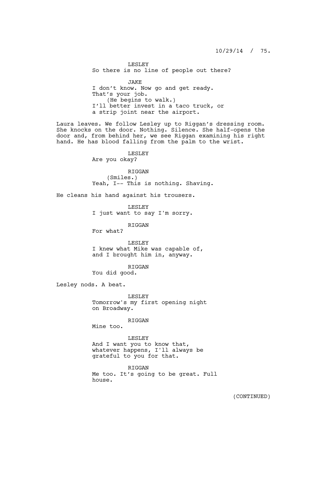10/29/14 / 75.

LESLEY So there is no line of people out there? JAKE I don't know. Now go and get ready. That's your job. (He begins to walk.) I'll better invest in a taco truck, or a strip joint near the airport.

Laura leaves. We follow Lesley up to Riggan's dressing room. She knocks on the door. Nothing. Silence. She half-opens the door and, from behind her, we see Riggan examining his right hand. He has blood falling from the palm to the wrist.

> LESLEY Are you okay? RIGGAN (Smiles.) Yeah, I-- This is nothing. Shaving.

He cleans his hand against his trousers.

LESLEY I just want to say I'm sorry.

RIGGAN

For what?

LESLEY I knew what Mike was capable of, and I brought him in, anyway.

RIGGAN You did good.

Lesley nods. A beat.

LESLEY Tomorrow's my first opening night on Broadway.

RIGGAN

Mine too.

LESLEY And I want you to know that, whatever happens, I'll always be grateful to you for that.

RIGGAN<br>Me too. It's going to be great. Full house.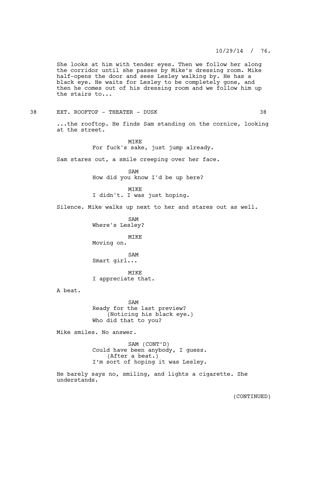10/29/14 / 76.

She looks at him with tender eyes. Then we follow her along the corridor until she passes by Mike's dressing room. Mike half-opens the door and sees Lesley walking by. He has a black eye. He waits for Lesley to be completely gone, and then he comes out of his dressing room and we follow him up the stairs to...

38 EXT. ROOFTOP - THEATER - DUSK 38

...the rooftop. He finds Sam standing on the cornice, looking at the street.

MIKE For fuck's sake, just jump already. Sam stares out, a smile creeping over her face. SAM How did you know I'd be up here? MIKE I didn't. I was just hoping. Silence. Mike walks up next to her and stares out as well. SAM Where's Lesley? MIKE Moving on. SAM Smart girl... MIKE I appreciate that. A beat. SAM<br>Ready for the last preview? (Noticing his black eye.) Who did that to you? Mike smiles. No answer. SAM (CONT'D) Could have been anybody, I guess.

(After a beat.) I'm sort of hoping it was Lesley.

He barely says no, smiling, and lights a cigarette. She understands.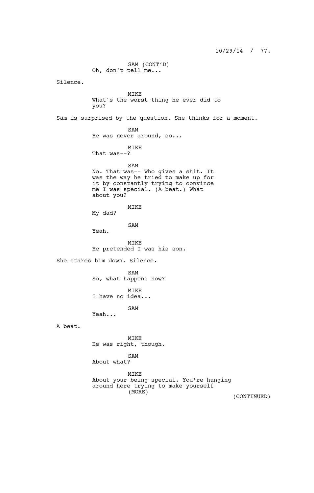SAM (CONT'D) Oh, don't tell me... Silence. MIKE<br>What's the worst thing he ever did to you? Sam is surprised by the question. She thinks for a moment. SAM He was never around, so... MIKE That was--? SAM No. That was-- Who gives a shit. It was the way he tried to make up for it by constantly trying to convince me I was special. (A beat.) What about you? MIKE My dad? SAM Yeah. MIKE He pretended I was his son. She stares him down. Silence. SAM So, what happens now? MIKE I have no idea... SAM Yeah... A beat. MIKE He was right, though. SAM About what? MIKE<br>About your being special. You're hanging around here  $trying$  to make yourself (MORE) 10/29/14 / 77. (CONTINUED)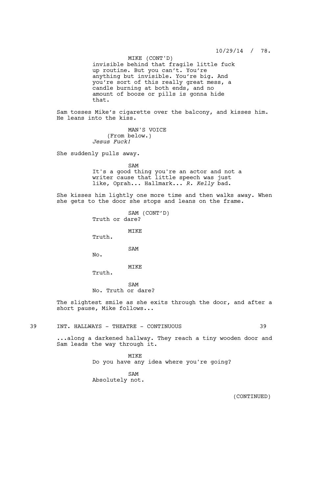10/29/14 / 78.

invisible behind that fragile little fuck up routine. But you can't. You're anything but invisible. You're big. And you're sort of this really great mess, a candle burning at both ends, and no amount of booze or pills is gonna hide that. MIKE (CONT'D)

Sam tosses Mike's cigarette over the balcony, and kisses him. He leans into the kiss.

MAN'S VOICE (From below.) *Jesus Fuck!*

She suddenly pulls away.

SAM

It's a good thing you're an actor and not a writer cause that little speech was just like, Oprah... Hallmark... *R. Kelly* bad.

She kisses him lightly one more time and then walks away. When she gets to the door she stops and leans on the frame.

> SAM (CONT'D) Truth or dare? MTKE Truth. SAM No. MIKE Truth.

SAM No. Truth or dare?

The slightest smile as she exits through the door, and after a short pause, Mike follows...

39 INT. HALLWAYS - THEATRE - CONTINUOUS 39

...along a darkened hallway. They reach a tiny wooden door and Sam leads the way through it.

> MIKE Do you have any idea where you're going?

SAM Absolutely not.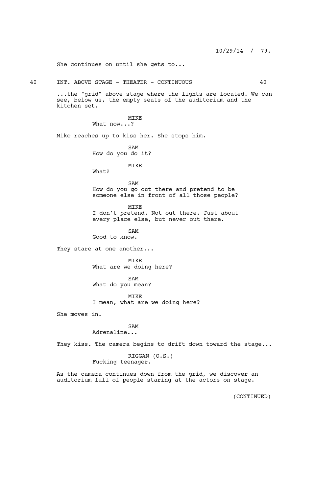She continues on until she gets to... 40 INT. ABOVE STAGE - THEATER - CONTINUOUS 40 ...the "grid" above stage where the lights are located. We can see, below us, the empty seats of the auditorium and the kitchen set. MIKE What now...? Mike reaches up to kiss her. She stops him. SAM How do you do it? MIKE What? SAM How do you go out there and pretend to be someone else in front of all those people? MIKE I don't pretend. Not out there. Just about every place else, but never out there. SAM Good to know. They stare at one another... MIKE What are we doing here? SAM What do you mean? MIKE I mean, what are we doing here? She moves in. SAM Adrenaline... They kiss. The camera begins to drift down toward the stage... RIGGAN (O.S.) Fucking teenager. As the camera continues down from the grid, we discover an auditorium full of people staring at the actors on stage.

(CONTINUED)

10/29/14 / 79.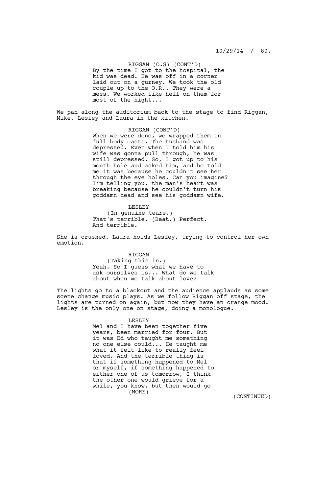10/29/14 / 80.

RIGGAN (O.S) (CONT'D) By the time I got to the hospital, the kid was dead. He was off in a corner laid out on a gurney. We took the old couple up to the O.R.. They were a mess. We worked like hell on them for most of the night...

We pan along the auditorium back to the stage to find Riggan, Mike, Lesley and Laura in the kitchen.

RIGGAN (CONT'D) When we were done, we wrapped them in full body casts. The husband was depressed. Even when I told him his wife was gonna pull through, he was still depressed. So, I got up to his mouth hole and asked him, and he told me it was because he couldn't see her through the eye holes. Can you imagine? I'm telling you, the man's heart was breaking because he couldn't turn his goddamn head and see his goddamn wife.

LESLEY (In genuine tears.) That's terrible. (Beat.) Perfect. And terrible.

She is crushed. Laura holds Lesley, trying to control her own emotion.

RIGGAN

(Taking this in.) Yeah. So I guess what we have to ask ourselves is... What do we talk about when we talk about love?

The lights go to a blackout and the audience applauds as some scene change music plays. As we follow Riggan off stage, the lights are turned on again, but now they have an orange mood. Lesley is the only one on stage, doing a monologue.

> LESLEY Mel and I have been together five years, been married for four. But it was Ed who taught me something no one else could... He taught me what it felt like to really feel loved. And the terrible thing is that if something happened to Mel or myself, if something happened to either one of us tomorrow, I think the other one would grieve for a while, you know, but then would go<br>(MORE)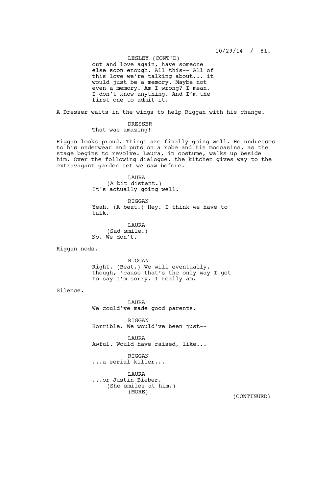10/29/14 / 81.

out and love again, have someone else soon enough. All this-- All of this love we're talking about... it would just be a memory. Maybe not even a memory. Am I wrong? I mean, I don't know anything. And I'm the first one to admit it. LESLEY (CONT'D)

A Dresser waits in the wings to help Riggan with his change.

DRESSER That was amazing!

Riggan looks proud. Things are finally going well. He undresses to his underwear and puts on a robe and his moccasins, as the stage begins to revolve. Laura, in costume, walks up beside him. Over the following dialogue, the kitchen gives way to the extravagant garden set we saw before.

> LAURA (A bit distant.) It's actually going well.

RIGGAN Yeah. (A beat.) Hey. I think we have to talk.

LAURA (Sad smile.) No. We don't.

Riggan nods.

RIGGAN Right. (Beat.) We will eventually, though, 'cause that's the only way I get to say I'm sorry. I really am.

Silence.

LAURA We could've made good parents.

RIGGAN Horrible. We would've been just--

LAURA Awful. Would have raised, like...

RIGGAN ...a serial killer...

LAURA<br>...or Justin Bieber. (She smiles at him.)<br> $(MORE)$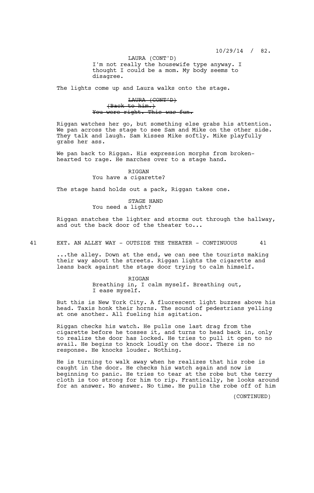10/29/14 / 82.

I'm not really the housewife type anyway. I thought I could be a mom. My body seems to disagree. LAURA (CONT'D)

The lights come up and Laura walks onto the stage.

## LAURA (CONT'D) (Back to him.)  $\overline{w}$ ere right. This was fun.

Riggan watches her go, but something else grabs his attention. We pan across the stage to see Sam and Mike on the other side. They talk and laugh. Sam kisses Mike softly. Mike playfully grabs her ass.

We pan back to Riggan. His expression morphs from brokenhearted to rage. He marches over to a stage hand.

#### RIGGAN

You have a cigarette?

The stage hand holds out a pack, Riggan takes one.

STAGE HAND You need a light?

Riggan snatches the lighter and storms out through the hallway, and out the back door of the theater to...

41 EXT. AN ALLEY WAY - OUTSIDE THE THEATER - CONTINUOUS 41

...the alley. Down at the end, we can see the tourists making their way about the streets. Riggan lights the cigarette and leans back against the stage door trying to calm himself.

> RIGGAN Breathing in, I calm myself. Breathing out, I ease myself.

But this is New York City. A fluorescent light buzzes above his head. Taxis honk their horns. The sound of pedestrians yelling at one another. All fueling his agitation.

Riggan checks his watch. He pulls one last drag from the cigarette before he tosses it, and turns to head back in, only to realize the door has locked. He tries to pull it open to no avail. He begins to knock loudly on the door. There is no response. He knocks louder. Nothing.

He is turning to walk away when he realizes that his robe is caught in the door. He checks his watch again and now is beginning to panic. He tries to tear at the robe but the terry cloth is too strong for him to rip. Frantically, he looks around for an answer. No answer. No time. He pulls the robe off of him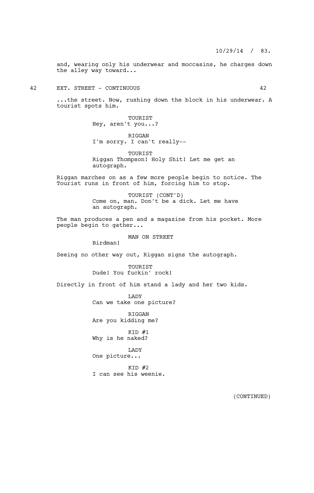and, wearing only his underwear and moccasins, he charges down the alley way toward...

42 EXT. STREET - CONTINUOUS 42

...the street. Now, rushing down the block in his underwear. A tourist spots him.

> TOURIST Hey, aren't you...?

RIGGAN I'm sorry. I can't really--

TOURIST Riggan Thompson! Holy Shit! Let me get an autograph.

Riggan marches on as a few more people begin to notice. The Tourist runs in front of him, forcing him to stop.

TOURIST (CONT'D) Come on, man. Don't be a dick. Let me have an autograph.

The man produces a pen and a magazine from his pocket. More people begin to gather...

MAN ON STREET<br>Birdman!

Seeing no other way out, Riggan signs the autograph.

TOURIST Dude! You fuckin' rock!

Directly in front of him stand a lady and her two kids.

LADY<br>Can we take one picture?

RIGGAN Are you kidding me?

KID #1 Why is he naked?

LADY One picture...

 $KID$  #2 I can see his weenie.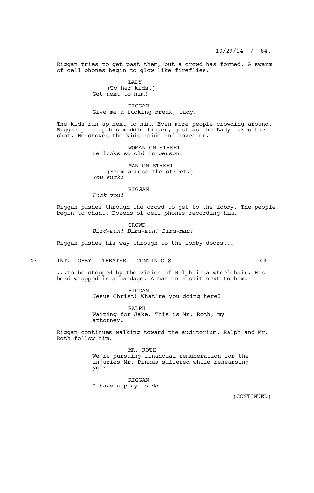Riggan tries to get past them, but a crowd has formed. A swarm of cell phones begin to glow like fireflies.

> LADY (To her kids.) Get next to him!

**RIGGAN** Give me a fucking break, lady.

The kids run up next to him. Even more people crowding around. Riggan puts up his middle finger, just as the Lady takes the shot. He shoves the kids aside and moves on.

> WOMAN ON STREET He looks so old in person.

MAN ON STREET (From across the street.) *You suck!*

RIGGAN

*Fuck you!*

Riggan pushes through the crowd to get to the lobby. The people begin to chant. Dozens of cell phones recording him.

**CROWD** *Bird-man! Bird-man! Bird-man!*

Riggan pushes his way through to the lobby doors...

43 INT. LOBBY - THEATER - CONTINUOUS 43

...to be stopped by the vision of Ralph in a wheelchair. His head wrapped in a bandage. A man in a suit next to him.

> RIGGAN Jesus Christ! What're you doing here?

RALPH Waiting for Jake. This is Mr. Roth, my attorney.

Riggan continues walking toward the auditorium. Ralph and Mr. Roth follow him.

> MR. ROTH We're pursuing financial remuneration for the injuries Mr. Pinkus suffered while rehearsing your--

RIGGAN I have a play to do.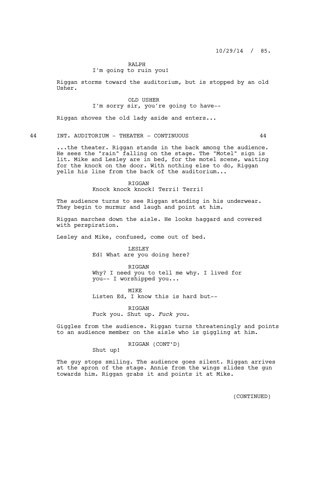10/29/14 / 85.

## RALPH

# I'm going to ruin you!

Riggan storms toward the auditorium, but is stopped by an old Usher.

> OLD USHER I'm sorry sir, you're going to have--

Riggan shoves the old lady aside and enters...

# 44 INT. AUDITORIUM - THEATER - CONTINUOUS 44

...the theater. Riggan stands in the back among the audience. He sees the "rain" falling on the stage. The "Motel" sign is lit. Mike and Lesley are in bed, for the motel scene, waiting for the knock on the door. With nothing else to do, Riggan yells his line from the back of the auditorium...

# RIGGAN

Knock knock knock! Terri! Terri!

The audience turns to see Riggan standing in his underwear. They begin to murmur and laugh and point at him.

Riggan marches down the aisle. He looks haggard and covered with perspiration.

Lesley and Mike, confused, come out of bed.

LESLEY Ed! What are you doing here?

RIGGAN Why? I need you to tell me why. I lived for you-- I worshipped you...

MIKE Listen Ed, I know this is hard but--

RIGGAN Fuck you. Shut up. *Fuck you*.

Giggles from the audience. Riggan turns threateningly and points to an audience member on the aisle who is giggling at him.

RIGGAN (CONT'D)

Shut up!

The guy stops smiling. The audience goes silent. Riggan arrives at the apron of the stage. Annie from the wings slides the gun towards him. Riggan grabs it and points it at Mike.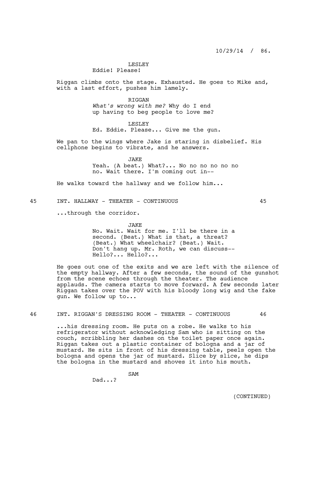10/29/14 / 86.

## LESLEY Eddie! Please!

Riggan climbs onto the stage. Exhausted. He goes to Mike and, with a last effort, pushes him lamely.

> RIGGAN *What's wrong with me?* Why do I end up having to beg people to love me?

LESLEY Ed. Eddie. Please... Give me the gun.

We pan to the wings where Jake is staring in disbelief. His cellphone begins to vibrate, and he answers.

> JAKE Yeah. (A beat.) What?... No no no no no no no. Wait there. I'm coming out in--

He walks toward the hallway and we follow him...

# 45 INT. HALLWAY - THEATER - CONTINUOUS 45

...through the corridor.

JAKE

No. Wait. Wait for me. I'll be there in a second. (Beat.) What is that, a threat? (Beat.) What wheelchair? (Beat.) Wait. Don't hang up. Mr. Roth, we can discuss-- Hello?... Hello?...

He goes out one of the exits and we are left with the silence of the empty hallway. After a few seconds, the sound of the gunshot from the scene echoes through the theater. The audience applauds. The camera starts to move forward. A few seconds later Riggan takes over the POV with his bloody long wig and the fake gun. We follow up to...

46 INT. RIGGAN'S DRESSING ROOM - THEATER - CONTINUOUS 46

...his dressing room. He puts on a robe. He walks to his refrigerator without acknowledging Sam who is sitting on the couch, scribbling her dashes on the toilet paper once again. Riggan takes out a plastic container of bologna and a jar of mustard. He sits in front of his dressing table, peels open the bologna and opens the jar of mustard. Slice by slice, he dips the bologna in the mustard and shoves it into his mouth.

SAM Dad...?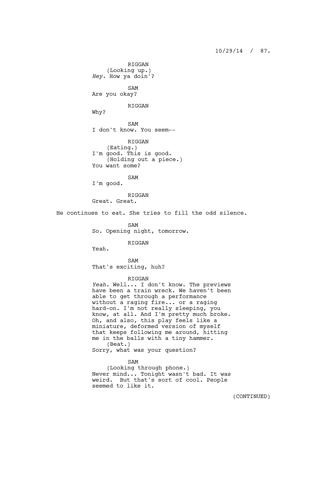RIGGAN (Looking up.) *Hey.* How ya doin'? SAM Are you okay? RIGGAN Why? SAM I don't know. You seem-- RIGGAN (Eating.) I'm good. This is good. (Holding out a piece.) You want some? SAM I'm good. RIGGAN Great. Great. He continues to eat. She tries to fill the odd silence. SAM So. Opening night, tomorrow. RIGGAN Yeah. SAM That's exciting, huh? RIGGAN *Yeah.* Well... I don't know. The previews have been a train wreck. We haven't been able to get through a performance without a raging fire... or a raging hard-on. I'm not really sleeping, you know, at all. And I'm pretty much broke. Oh, and also, this play feels like a miniature, deformed version of myself that keeps following me around, hitting me in the balls with a tiny hammer. (Beat.) Sorry, what was your question? SAM (Looking through phone.) Never mind... Tonight wasn't bad. It was weird. But that's sort of cool. People seemed to like it. (CONTINUED)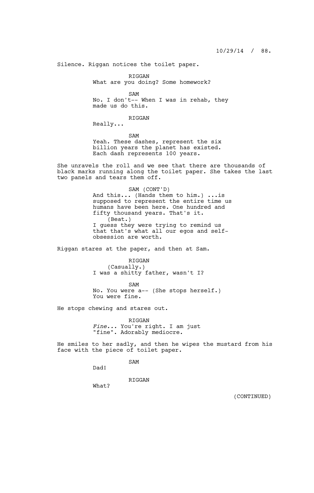Silence. Riggan notices the toilet paper.

RIGGAN

What are you doing? Some homework?

SAM<br>No. I don't-- When I was in rehab, they made us do this.

RIGGAN

Really...

SAM

Yeah. These dashes, represent the six billion years the planet has existed. Each dash represents 100 years.

She unravels the roll and we see that there are thousands of black marks running along the toilet paper. She takes the last two panels and tears them off.

> SAM (CONT'D) And this... (Hands them to him.) ...is supposed to represent the entire time us humans have been here. One hundred and fifty thousand years. That's it. (Beat.) I guess they were trying to remind us that that's what all our egos and selfobsession are worth.

Riggan stares at the paper, and then at Sam.

RIGGAN (Casually.) I was a shitty father, wasn't I?

SAM No. You were a-- (She stops herself.) You were fine.

He stops chewing and stares out.

Dad!

What?

RIGGAN *Fine...* You're right. I am just "fine". Adorably mediocre.

He smiles to her sadly, and then he wipes the mustard from his face with the piece of toilet paper.

SAM

RIGGAN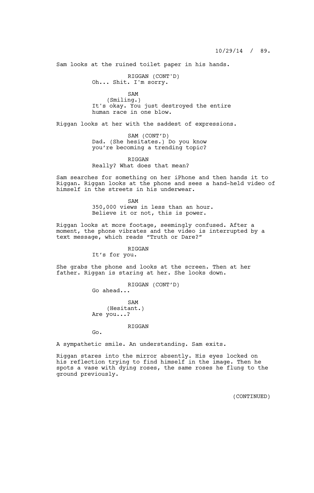Sam looks at the ruined toilet paper in his hands.

RIGGAN (CONT'D) Oh... Shit. I'm sorry.

SAM (Smiling.) It's okay. You just destroyed the entire human race in one blow.

Riggan looks at her with the saddest of expressions.

SAM (CONT'D) Dad. (She hesitates.) Do you know you're becoming a trending topic?

RIGGAN Really? What does that mean?

Sam searches for something on her iPhone and then hands it to Riggan. Riggan looks at the phone and sees a hand-held video of himself in the streets in his underwear.

> SAM 350,000 views in less than an hour. Believe it or not, this is power.

Riggan looks at more footage, seemingly confused. After a moment, the phone vibrates and the video is interrupted by a text message, which reads "Truth or Dare?"

RIGGAN

It's for you.

She grabs the phone and looks at the screen. Then at her father. Riggan is staring at her. She looks down.

RIGGAN (CONT'D)

Go ahead...

SAM (Hesitant.) Are you...?

**RIGGAN** 

Go.

A sympathetic smile. An understanding. Sam exits.

Riggan stares into the mirror absently. His eyes locked on his reflection trying to find himself in the image. Then he spots a vase with dying roses, the same roses he flung to the ground previously.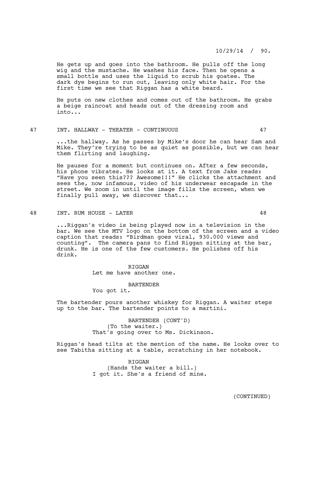10/29/14 / 90.

He gets up and goes into the bathroom. He pulls off the long wig and the mustache. He washes his face. Then he opens a small bottle and uses the liquid to scrub his goatee. The dark dye begins to run out, leaving only white hair. For the first time we see that Riggan has a white beard.

He puts on new clothes and comes out of the bathroom. He grabs a beige raincoat and heads out of the dressing room and into...

# 47 INT. HALLWAY - THEATER - CONTINUOUS 47

..the hallway. As he passes by Mike's door he can hear Sam and Mike. They're trying to be as quiet as possible, but we can hear them flirting and laughing.

He pauses for a moment but continues on. After a few seconds, his phone vibrates. He looks at it. A text from Jake reads: "Have you seen this??? Awesome!!!" He clicks the attachment and sees the, now infamous, video of his underwear escapade in the street. We zoom in until the image fills the screen, when we finally pull away, we discover that...

48 INT. RUM HOUSE - LATER 48

...Riggan's video is being played now in a television in the bar. We see the MTV logo on the bottom of the screen and a video caption that reads: "Birdman goes viral, 930.000 views and counting". The camera pans to find Riggan sitting at the bar, drunk. He is one of the few customers. He polishes off his drink.

> **RIGGAN** Let me have another one.

> > BARTENDER

You got it.

The bartender pours another whiskey for Riggan. A waiter steps up to the bar. The bartender points to a martini.

BARTENDER (CONT'D) (To the waiter.) That's going over to Ms. Dickinson.

Riggan's head tilts at the mention of the name. He looks over to see Tabitha sitting at a table, scratching in her notebook.

> RIGGAN<br>(Hands the waiter a bill.) I got it. She's a friend of mine.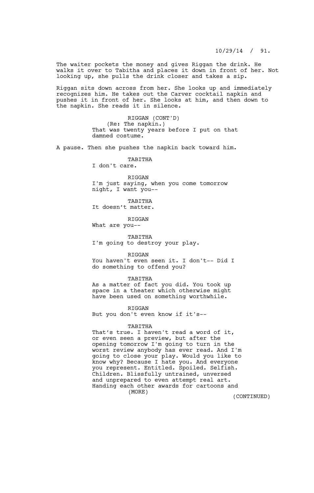10/29/14 / 91.

The waiter pockets the money and gives Riggan the drink. He walks it over to Tabitha and places it down in front of her. Not looking up, she pulls the drink closer and takes a sip.

Riggan sits down across from her. She looks up and immediately recognizes him. He takes out the Carver cocktail napkin and pushes it in front of her. She looks at him, and then down to the napkin. She reads it in silence.

> RIGGAN (CONT'D) (Re: The napkin.) That was twenty years before I put on that damned costume.

A pause. Then she pushes the napkin back toward him.

TABITHA

I don't care.

RIGGAN I'm just saying, when you come tomorrow night, I want you--

TABITHA

It doesn't matter.

RIGGAN What are you--

TABITHA<br>I'm going to destroy your play.

RIGGAN You haven't even seen it. I don't-- Did I do something to offend you?

TABITHA

As a matter of fact you did. You took up space in a theater which otherwise might have been used on something worthwhile.

RIGGAN

But you don't even know if it's--

## TABITHA

That's true. I haven't read a word of it, or even seen a preview, but after the opening tomorrow I'm going to turn in the worst review anybody has ever read. And I'm going to close your play. Would you like to know why? Because I hate you. And everyone you represent. Entitled. Spoiled. Selfish. Children. Blissfully untrained, unversed and unprepared to even attempt real art. Handing each other awards for cartoons and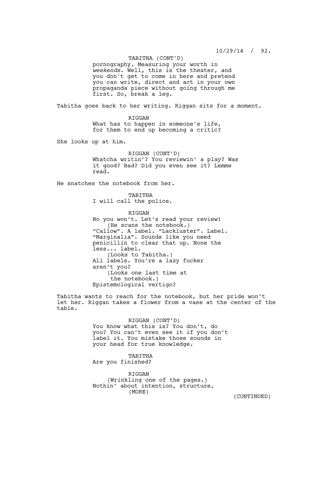10/29/14 / 92.

TABITHA (CONT'D)

pornography. Measuring your worth in *weekends*. Well, this is the theater, and you don't get to come in here and pretend you can write, direct and act in your own propaganda piece without going through me first. So, break a leg.

Tabitha goes back to her writing. Riggan sits for a moment.

RIGGAN What has to happen in someone's life, for them to end up becoming a critic?

She looks up at him.

RIGGAN (CONT'D) Whatcha writin'? You reviewin' a play? Was it good? Bad? Did you even see it? Lemme read.

He snatches the notebook from her.

TABITHA I will call the police.

**RIGGAN** No you won't. Let's read your review! (He scans the notebook.) "Callow". A label. "Lackluster". Label. "Marginalia". Sounds like you need penicillin to clear that up. None the less... label. (Looks to Tabitha.) All labels. You're a lazy fucker aren't you? (Looks one last time at the notebook.) Epistemological vertigo?

Tabitha wants to reach for the notebook, but her pride won't let her. Riggan takes a flower from a vase at the center of the table.

> RIGGAN (CONT'D) You know what this is? You don't, do you? You can't even see it if you don't label it. You mistake those sounds in your head for true knowledge.

TABITHA Are you finished?

RIGGAN<br>(Wrinkling one of the pages.) Nothin' about intention, structure,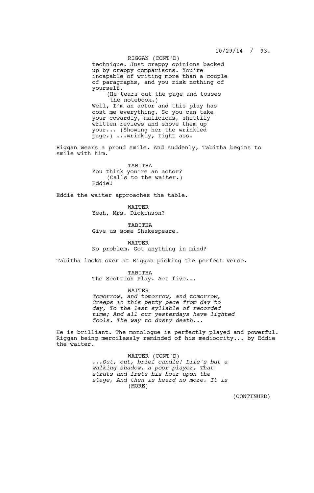10/29/14 / 93.

technique. Just crappy opinions backed up by crappy comparisons. You're incapable of writing more than a couple of paragraphs, and you risk nothing of yourself. (He tears out the page and tosses the notebook.) Well, I'm an actor and this play has cost me everything. So you can take your cowardly, malicious, shittily written reviews and shove them up your... (Showing her the wrinkled page.) ...wrinkly, tight ass. RIGGAN (CONT'D)

Riggan wears a proud smile. And suddenly, Tabitha begins to smile with him.

> TABITHA You think you're an actor? (Calls to the waiter.) Eddie!

Eddie the waiter approaches the table.

WAITER Yeah, Mrs. Dickinson?

TABITHA Give us some Shakespeare.

WAITER No problem. Got anything in mind?

Tabitha looks over at Riggan picking the perfect verse.

TABITHA The Scottish Play. Act five...

WAITER

*Tomorrow, and tomorrow, and tomorrow, Creeps in this petty pace from day to day, To the last syllable of recorded time; And all our yesterdays have lighted fools. The way to dusty death...*

He is brilliant. The monologue is perfectly played and powerful. Riggan being mercilessly reminded of his mediocrity... by Eddie the waiter.

> WAITER (CONT'D) *...Out, out, brief candle! Life's but a walking shadow, a poor player, That struts and frets his hour upon the stage, And then is heard no more. It is*  (MORE)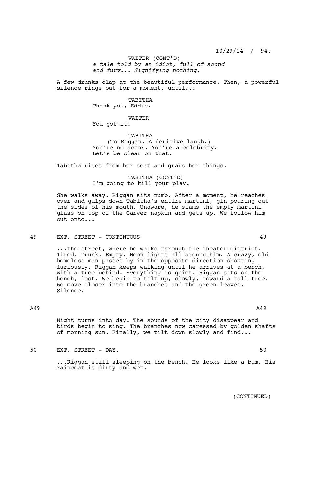10/29/14 / 94.

*a tale told by an idiot, full of sound and fury... Signifying nothing.* WAITER (CONT'D)

A few drunks clap at the beautiful performance. Then, a powerful silence rings out for a moment, until...

TABITHA Thank you, Eddie.

WAITER

You got it.

TABITHA (To Riggan. A derisive laugh.) You're no actor. You're a celebrity. Let's be clear on that.

Tabitha rises from her seat and grabs her things.

TABITHA (CONT'D) I'm going to kill your play.

She walks away. Riggan sits numb. After a moment, he reaches over and gulps down Tabitha's entire martini, gin pouring out the sides of his mouth. Unaware, he slams the empty martini glass on top of the Carver napkin and gets up. We follow him out onto...

49 EXT. STREET - CONTINUOUS 49

...the street, where he walks through the theater district. Tired. Drunk. Empty. Neon lights all around him. A crazy, old homeless man passes by in the opposite direction shouting furiously. Riggan keeps walking until he arrives at a bench, with a tree behind. Everything is quiet. Riggan sits on the bench, lost. We begin to tilt up, slowly, toward a tall tree. We move closer into the branches and the green leaves. Silence.

A49 A49

Night turns into day. The sounds of the city disappear and birds begin to sing. The branches now caressed by golden shafts of morning sun. Finally, we tilt down slowly and find...

50 EXT. STREET – DAY.

...Riggan still sleeping on the bench. He looks like a bum. His raincoat is dirty and wet.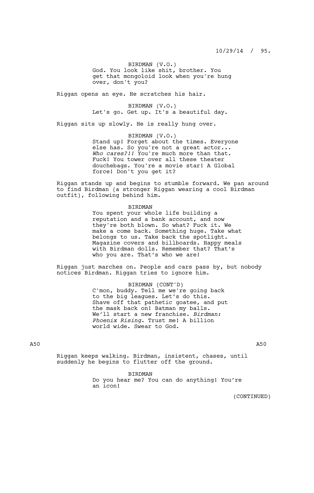10/29/14 / 95.

BIRDMAN (V.O.) God. You look like shit, brother. You get that mongoloid look when you're hung over, don't you?

Riggan opens an eye. He scratches his hair.

BIRDMAN (V.O.) Let's go. Get up. It's a beautiful day.

Riggan sits up slowly. He is really hung over.

BIRDMAN (V.O.) Stand up! Forget about the times. Everyone else has. So you're not a great actor... *Who cares?!!* You're much more than that. Fuck! You tower over all these theater douchebags. You're a movie star! A Global force! Don't you get it?

Riggan stands up and begins to stumble forward. We pan around to find Birdman (a stronger Riggan wearing a cool Birdman outfit), following behind him.

# BIRDMAN

You spent your whole life building a reputation and a bank account, and now they're both blown. So what? Fuck it. We make a come back. Something huge. Take what belongs to us. Take back the spotlight. Magazine covers and billboards. Happy meals with Birdman dolls. Remember that? That's who you are. That's who we are!

Riggan just marches on. People and cars pass by, but nobody notices Birdman. Riggan tries to ignore him.

# BIRDMAN (CONT'D)

C'mon, buddy. Tell me we're going back to the big leagues. Let's do this. Shave off that pathetic goatee, and put the mask back on! Batman my balls. We'll start a new franchise. *Birdman: Phoenix Rising.* Trust me! A billion world wide. Swear to God.

A50 A50

Riggan keeps walking. Birdman, insistent, chases, until suddenly he begins to flutter off the ground.

BIRDMAN

Do you hear me? You can do anything! You're an icon!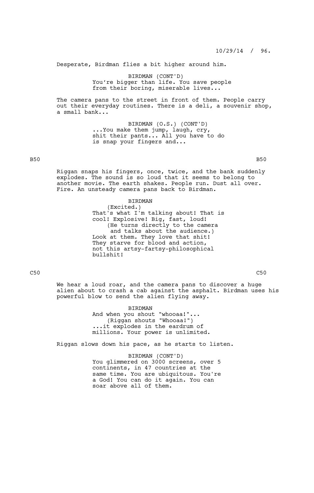Desperate, Birdman flies a bit higher around him.

BIRDMAN (CONT'D) You're bigger than life. You save people from their boring, miserable lives...

The camera pans to the street in front of them. People carry out their everyday routines. There is a deli, a souvenir shop, a small bank...

> BIRDMAN (O.S.) (CONT'D) ... You make them jump, laugh, cry, shit their pants... All you have to do is snap your fingers and...

# B50 B50

Riggan snaps his fingers, once, twice, and the bank suddenly explodes. The sound is so loud that it seems to belong to another movie. The earth shakes. People run. Dust all over. Fire. An unsteady camera pans back to Birdman.

# BIRDMAN

(Excited.) That's what I'm talking about! That is cool! Explosive! Big, fast, loud! (He turns directly to the camera and talks about the audience.) Look at them. They love that shit! They starve for blood and action, not this artsy-fartsy-philosophical bullshit!

C50 C50

We hear a loud roar, and the camera pans to discover a huge alien about to crash a cab against the asphalt. Birdman uses his powerful blow to send the alien flying away.

BIRDMAN

And when you shout "whooaa!"... (Riggan shouts "Whooaa!") ...it explodes in the eardrum of millions. Your power is unlimited.

Riggan slows down his pace, as he starts to listen.

BIRDMAN (CONT'D) You glimmered on 3000 screens, over 5 continents, in 47 countries at the same time. You are ubiquitous. You're a God! You can do it again. You can soar above all of them.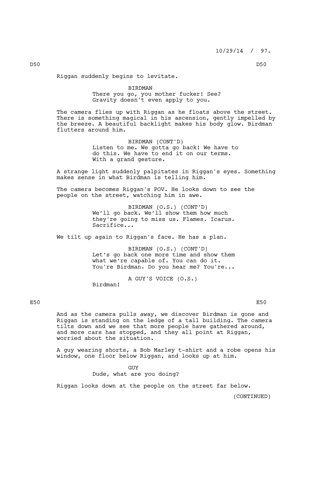Riggan suddenly begins to levitate.

**BIRDMAN** There you go, you mother fucker! See? Gravity doesn't even apply to you.

The camera flies up with Riggan as he floats above the street. There is something magical in his ascension, gently impelled by the breeze. A beautiful backlight makes his body glow. Birdman flutters around him.

> BIRDMAN (CONT'D) Listen to me. We gotta go back! We have to do this. We have to end it on our terms. With a grand gesture.

A strange light suddenly palpitates in Riggan's eyes. Something makes sense in what Birdman is telling him.

The camera becomes Riggan's POV. He looks down to see the people on the street, watching him in awe.

> BIRDMAN (O.S.) (CONT'D) We'll go back. We'll show them how much they're going to miss us. Flames. Icarus. Sacrifice...

We tilt up again to Riggan's face. He has a plan.

BIRDMAN (O.S.) (CONT'D) Let's go back one more time and show them what we're capable of. You can do it. You're Birdman. Do you hear me? You're...

A GUY'S VOICE (O.S.) Birdman!

## E50 E50

And as the camera pulls away, we discover Birdman is gone and Riggan is standing on the ledge of a tall building. The camera tilts down and we see that more people have gathered around, and more cars has stopped, and they all point at Riggan, worried about the situation.

A guy wearing shorts, a Bob Marley t-shirt and a robe opens his window, one floor below Riggan, and looks up at him.

> GUY Dude, what are you doing?

Riggan looks down at the people on the street far below.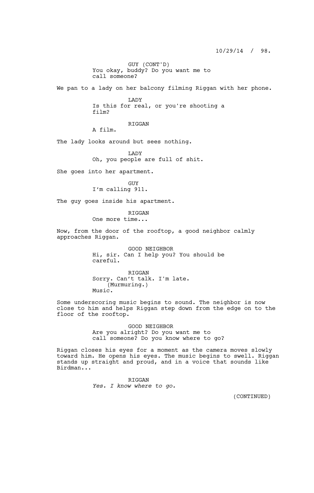10/29/14 / 98.

GUY (CONT'D) You okay, buddy? Do you want me to call someone? We pan to a lady on her balcony filming Riggan with her phone. LADY Is this for real, or you're shooting a film? **RIGGAN** A film. The lady looks around but sees nothing. LADY Oh, you people are full of shit. She goes into her apartment. GUY I'm calling 911. The guy goes inside his apartment. RIGGAN One more time... Now, from the door of the rooftop, a good neighbor calmly approaches Riggan. GOOD NEIGHBOR Hi, sir. Can I help you? You should be careful. RIGGAN Sorry. Can't talk. I'm late. (Murmuring.) Music. Some underscoring music begins to sound. The neighbor is now close to him and helps Riggan step down from the edge on to the floor of the rooftop. GOOD NEIGHBOR Are you alright? Do you want me to call someone? Do you know where to go? Riggan closes his eyes for a moment as the camera moves slowly toward him. He opens his eyes. The music begins to swell. Riggan stands up straight and proud, and in a voice that sounds like

> RIGGAN *Yes. I know where to go.*

Birdman...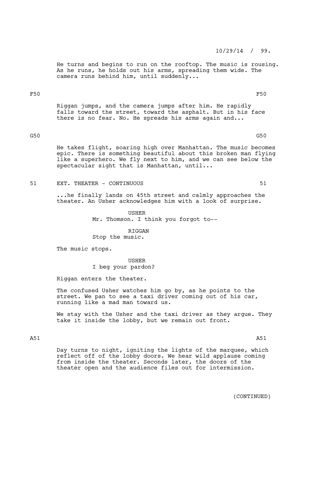10/29/14 / 99.

He turns and begins to run on the rooftop. The music is rousing. As he runs, he holds out his arms, spreading them wide. The camera runs behind him, until suddenly...

F50 F50

Riggan jumps, and the camera jumps after him. He rapidly falls toward the street, toward the asphalt. But in his face there is no fear. No. He spreads his arms again and...

G50 G50

He takes flight, soaring high over Manhattan. The music becomes epic. There is something beautiful about this broken man flying like a superhero. We fly next to him, and we can see below the spectacular sight that is Manhattan, until...

51 EXT. THEATER - CONTINUOUS 51 51

...he finally lands on 45th street and calmly approaches the theater. An Usher acknowledges him with a look of surprise.

> **USHER** Mr. Thomson. I think you forgot to--

RIGGAN Stop the music.

The music stops.

USHER I beg your pardon?

Riggan enters the theater.

The confused Usher watches him go by, as he points to the street. We pan to see a taxi driver coming out of his car, running like a mad man toward us.

We stay with the Usher and the taxi driver as they argue. They take it inside the lobby, but we remain out front.

A51 A51

Day turns to night, igniting the lights of the marquee, which reflect off of the lobby doors. We hear wild applause coming from inside the theater. Seconds later, the doors of the theater open and the audience files out for intermission.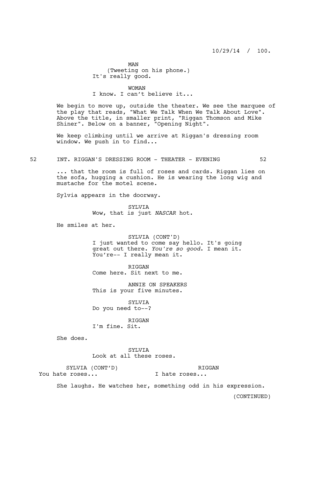10/29/14 / 100.

MAN (Tweeting on his phone.) It's really good.

WOMAN

I know. I can't believe it...

We begin to move up, outside the theater. We see the marquee of<br>the play that reads, "What We Talk When We Talk About Love".<br>Above the title, in smaller print, "Riggan Thomson and Mike<br>Shiner". Below on a banner, "Opening

We keep climbing until we arrive at Riggan's dressing room window. We push in to find...

52 INT. RIGGAN'S DRESSING ROOM - THEATER - EVENING 52

... that the room is full of roses and cards. Riggan lies on the sofa, hugging a cushion. He is wearing the long wig and mustache for the motel scene.

Sylvia appears in the doorway.

SYLVIA Wow, that is just *NASCAR* hot.

He smiles at her.

SYLVIA (CONT'D) I just wanted to come say hello. It's going great out there. *You're so good*. I mean it. You're-- I really mean it.

RIGGAN Come here. Sit next to me.

ANNIE ON SPEAKERS This is your five minutes.

SYLVIA Do you need to--?

RIGGAN

I'm fine. Sit.

She does.

SYLVIA Look at all these roses.

SYLVIA (CONT'D)<br>You hate roses...

RIGGAN<br>I hate roses...

She laughs. He watches her, something odd in his expression.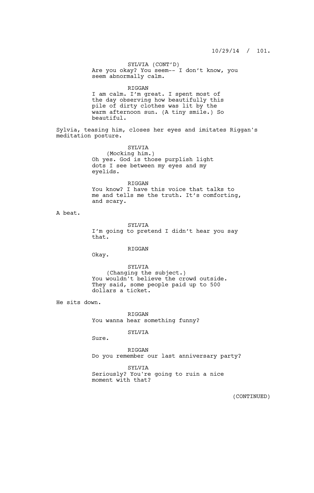10/29/14 / 101.

SYLVIA (CONT'D) Are you okay? You seem-- I don't know, you seem abnormally calm.

RIGGAN

I am calm. I'm great. I spent most of the day observing how beautifully this pile of dirty clothes was lit by the warm afternoon sun. (A tiny smile.) So beautiful.

Sylvia, teasing him, closes her eyes and imitates Riggan's meditation posture.

> SYLVIA (Mocking him.) Oh yes. God is those purplish light dots I see between my eyes and my eyelids.

RIGGAN You know? I have this voice that talks to me and tells me the truth. It's comforting, and scary.

A beat.

SYLVIA I'm going to pretend I didn't hear you say that.

RIGGAN

Okay.

SYLVIA (Changing the subject.) You wouldn't believe the crowd outside. They said, some people paid up to 500 dollars a ticket.

He sits down.

RIGGAN You wanna hear something funny?

SYLVIA

Sure.

RIGGAN Do you remember our last anniversary party?

SYLVIA Seriously? You're going to ruin a nice moment with that?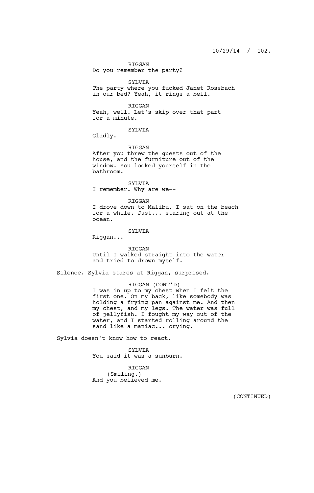RIGGAN

Do you remember the party?

SYLVIA

The party where you fucked Janet Rossbach in our bed? Yeah, it rings a bell.

RIGGAN

Yeah, well. Let's skip over that part for a minute.

SYLVIA

Gladly.

RIGGAN

After you threw the guests out of the house, and the furniture out of the window. You locked yourself in the bathroom.

SYLVIA

I remember. Why are we--

RIGGAN I drove down to Malibu. I sat on the beach for a while. Just... staring out at the ocean.

SYLVIA

Riggan...

RIGGAN Until I walked straight into the water and tried to drown myself.

Silence. Sylvia stares at Riggan, surprised.

RIGGAN (CONT'D) I was in up to my chest when I felt the first one. On my back, like somebody was holding a frying pan against me. And then my chest, and my legs. The water was full of jellyfish. I fought my way out of the water, and I started rolling around the

Sylvia doesn't know how to react.

SYLVIA You said it was a sunburn.

sand like a maniac... crying.

RIGGAN (Smiling.) And you believed me.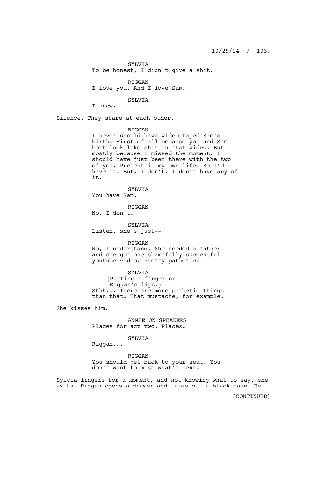SYLVIA To be honest, I didn't give a shit.

RIGGAN

I love you. And I love Sam.

SYLVIA

I know.

Silence. They stare at each other.

RIGGAN

I never should have video taped Sam's birth. First of all because you and Sam both look like shit in that video. But mostly because I missed the moment. I should have just been there with the two of you. Present in my own life. So I'd have it. But, I don't. I don't have any of it.

SYLVIA You have Sam.

RIGGAN No, I don't.

SYLVIA Listen, she's just--

RIGGAN No, I understand. She needed a father and she got one shamefully successful youtube video. Pretty pathetic.

SYLVIA (Putting a finger on Riggan's lips.) Shhh... There are more pathetic things than that. That mustache, for example.

She kisses him.

ANNIE ON SPEAKERS Places for act two. Places.

SYLVIA Riggan...

RIGGAN You should get back to your seat. You don't want to miss what's next.

Sylvia lingers for a moment, and not knowing what to say, she exits. Riggan opens a drawer and takes out a black case. He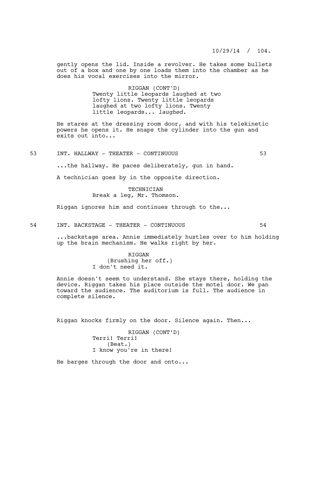10/29/14 / 104.

gently opens the lid. Inside a revolver. He takes some bullets out of a box and one by one loads them into the chamber as he does his vocal exercises into the mirror.

> RIGGAN (CONT'D) Twenty little leopards laughed at two lofty lions. Twenty little leopards laughed at two lofty lions. Twenty little leopards... *laughed.*

He stares at the dressing room door, and with his telekinetic powers he opens it. He snaps the cylinder into the gun and exits out into...

53 INT. HALLWAY - THEATER - CONTINUOUS 53

...the hallway. He paces deliberately, gun in hand.

A technician goes by in the opposite direction.

TECHNICIAN Break a leg, Mr. Thomson.

Riggan ignores him and continues through to the...

54 INT. BACKSTAGE - THEATER - CONTINUOUS 54

...backstage area. Annie immediately hustles over to him holding up the brain mechanism. He walks right by her.

RIGGAN (Brushing her off.) I don't need it.

Annie doesn't seem to understand. She stays there, holding the device. Riggan takes his place outside the motel door. We pan toward the audience. The auditorium is full. The audience in complete silence.

Riggan knocks firmly on the door. Silence again. Then...

RIGGAN (CONT'D) Terri! Terri! (Beat.) I know you're in there!

He barges through the door and onto...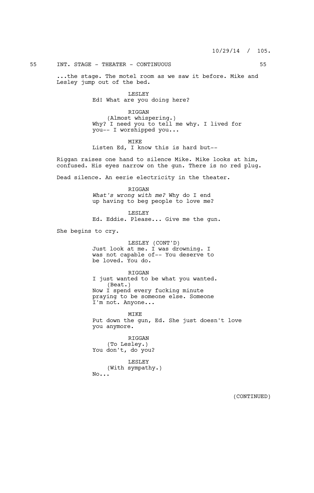### 55 INT. STAGE - THEATER - CONTINUOUS 55

...the stage. The motel room as we saw it before. Mike and Lesley jump out of the bed.

LESLEY<br>Ed! What are you doing here?

RIGGAN (Almost whispering.) Why? I need you to tell me why. I lived for you-- I worshipped you...

MIKE Listen Ed, I know this is hard but--

Riggan raises one hand to silence Mike. Mike looks at him, confused. His eyes narrow on the gun. There is no red plug.

Dead silence. An eerie electricity in the theater.

RIGGAN *What's wrong with me?* Why do I end up having to beg people to love me?

LESLEY Ed. Eddie. Please... Give me the gun.

She begins to cry.

LESLEY (CONT'D) Just look at me. I was drowning. I was not capable of-- You deserve to be loved. You do.

RIGGAN I just wanted to be what you wanted. (Beat.) Now I spend every fucking minute praying to be someone else. Someone I'm not. Anyone...

MIKE Put down the gun, Ed. She just doesn't love you anymore.

RIGGAN (To Lesley.) You don't, do you?

LESLEY (With sympathy.) No...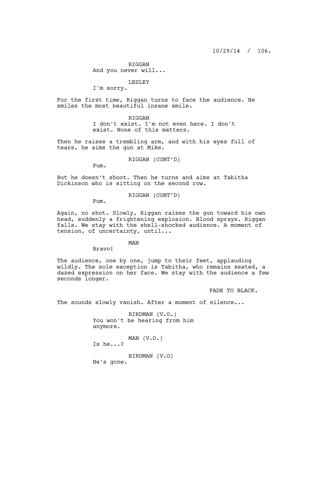10/29/14 / 106.

RIGGAN And you never will...

LESLEY

I'm sorry.

For the first time, Riggan turns to face the audience. He smiles the most beautiful insane smile.

RIGGAN I don't exist. I'm not even here. I don't exist. None of this matters.

Then he raises a trembling arm, and with his eyes full of tears, he aims the gun at Mike.

RIGGAN (CONT'D)

Pum.

Pum.

But he doesn't shoot. Then he turns and aims at Tabitha Dickinson who is sitting on the second row.

RIGGAN (CONT'D)

Again, no shot. Slowly, Riggan raises the gun toward his own head, suddenly a frightening explosion. Blood sprays. Riggan falls. We stay with the shell-shocked audience. A moment of tension, of uncertainty, until...

MAN

Bravo!

The audience, one by one, jump to their feet, applauding wildly. The sole exception is Tabitha, who remains seated, a dazed expression on her face. We stay with the audience a few seconds longer.

FADE TO BLACK.

The sounds slowly vanish. After a moment of silence...

BIRDMAN (V.O.) You won't be hearing from him anymore.

MAN (V.O.)

Is he...?

BIRDMAN (V.O) He's gone.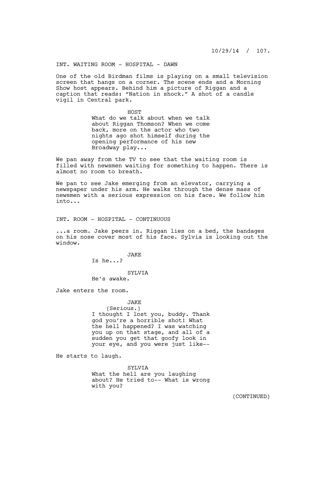10/29/14 / 107.

INT. WAITING ROOM - HOSPITAL - DAWN

One of the old Birdman films is playing on a small television screen that hangs on a corner. The scene ends and a Morning Show host appears. Behind him a picture of Riggan and a caption that reads: "Nation in shock." A shot of a candle vigil in Central park.

> HOST What do we talk about when we talk about Riggan Thomson? When we come back, more on the actor who two nights ago shot himself during the opening performance of his new Broadway play...

We pan away from the TV to see that the waiting room is filled with newsmen waiting for something to happen. There is almost no room to breath.

We pan to see Jake emerging from an elevator, carrying a newspaper under his arm. He walks through the dense mass of newsmen with a serious expression on his face. We follow him into...

INT. ROOM - HOSPITAL - CONTINUOUS

...a room. Jake peers in. Riggan lies on a bed, the bandages on his nose cover most of his face. Sylvia is looking out the window.

> JAKE Is he...?

> > SYLVIA

He's awake.

Jake enters the room.

JAKE (Serious.) I thought I lost you, buddy. Thank god you're a horrible shot! What the hell happened? I was watching you up on that stage, and all of a sudden you get that goofy look in your eye, and you were just like--

He starts to laugh.

SYLVIA<br>What the hell are you laughing about? He tried to-- What is wrong with you?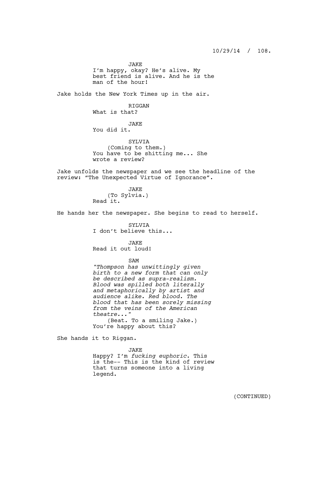10/29/14 / 108.

JAKE I'm happy, okay? He's alive. My best friend is alive. And he is the man of the hour! Jake holds the New York Times up in the air. **RIGGAN** What is that? JAKE You did it. SYLVIA (Coming to them.) You have to be shitting me... She wrote a review? Jake unfolds the newspaper and we see the headline of the review: "The Unexpected Virtue of Ignorance". JAKE (To Sylvia.) Read it. He hands her the newspaper. She begins to read to herself. SYLVIA I don't believe this... JAKE Read it out loud! SAM *"Thompson has unwittingly given birth to a new form that can only be described as supra-realism. Blood was spilled both literally and metaphorically by artist and audience alike. Red blood. The blood that has been sorely missing from the veins of the American theatre..."* (Beat. To a smiling Jake.) You're happy about this? She hands it to Riggan. JAKE Happy? I'm *fucking euphoric*. This is the-- This is the kind of review that turns someone into a living legend.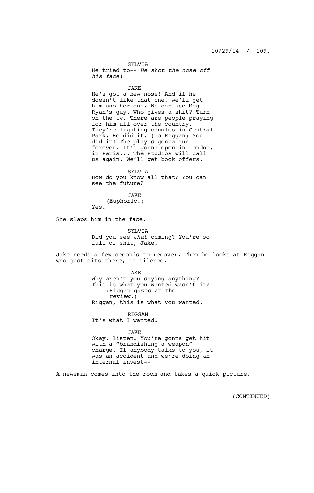SYLVIA He tried to-- *He shot the nose off his face!*

JAKE

He's got a new nose! And if he doesn't like that one, we'll get him another one. We can use Meg Ryan's guy. Who gives a shit? Turn on the tv. There are people praying for him all over the country. They're lighting candles in Central Park. He did it. (To Riggan) You did it! The play's gonna run forever. It's gonna open in London, in Paris... The studios will call us again. We'll get book offers.

SYLVIA How do you know all that? You can see the future?

JAKE (Euphoric.) Yes.

She slaps him in the face.

SYLVTA Did you see *that* coming? You're so full of shit, Jake.

Jake needs a few seconds to recover. Then he looks at Riggan who just sits there, in silence.

> JAKE Why aren't you saying anything? This is what you wanted wasn't it? (Riggan gazes at the review.) Riggan, this is what you wanted.

RIGGAN It's what I wanted.

JAKE Okay, listen. You're gonna get hit with a "brandishing a weapon" charge. If anybody talks to you, it was an accident and we're doing an internal invest--

A newsman comes into the room and takes a quick picture.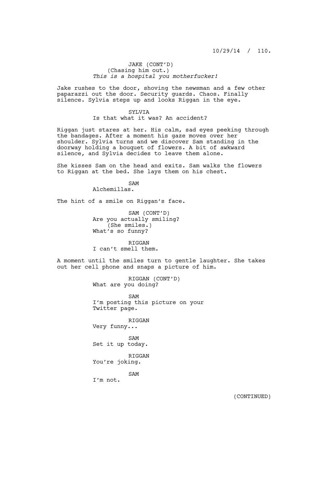10/29/14 / 110.

### JAKE (CONT'D) (Chasing him out.) *This is a hospital you motherfucker!*

Jake rushes to the door, shoving the newsman and a few other paparazzi out the door. Security guards. Chaos. Finally silence. Sylvia steps up and looks Riggan in the eye.

#### SYLVIA

Is that what it was? An accident?

Riggan just stares at her. His calm, sad eyes peeking through the bandages. After a moment his gaze moves over her shoulder. Sylvia turns and we discover Sam standing in the doorway holding a bouquet of flowers. A bit of awkward silence, and Sylvia decides to leave them alone.

She kisses Sam on the head and exits. Sam walks the flowers to Riggan at the bed. She lays them on his chest.

### SAM

Alchemillas.

The hint of a smile on Riggan's face.

SAM (CONT'D) Are you actually smiling? (She smiles.) What's so funny?

RIGGAN I can't smell them.

A moment until the smiles turn to gentle laughter. She takes out her cell phone and snaps a picture of him.

> RIGGAN (CONT'D) What are you doing?

SAM I'm posting this picture on your Twitter page.

RIGGAN

Very funny... SAM Set it up today.

RIGGAN You're joking.

SAM I'm not.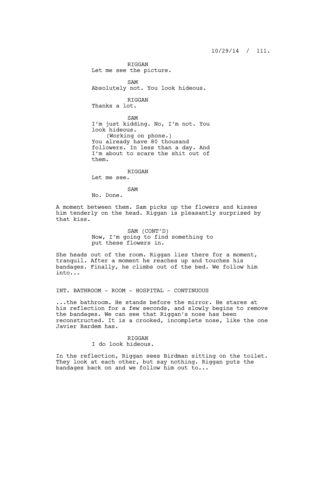RIGGAN Let me see the picture. SAM Absolutely not. You look hideous. RIGGAN Thanks a lot. SAM I'm just kidding. No, I'm not. You look hideous. (Working on phone.) You already have 80 thousand followers. In less than a day. And I'm about to scare the shit out of them.

RIGGAN

Let me see.

SAM

No. Done.

A moment between them. Sam picks up the flowers and kisses him tenderly on the head. Riggan is pleasantly surprised by that kiss.

> SAM (CONT'D) Now, I'm going to find something to put these flowers in.

She heads out of the room. Riggan lies there for a moment, tranquil. After a moment he reaches up and touches his bandages. Finally, he climbs out of the bed. We follow him into...

INT. BATHROOM - ROOM - HOSPITAL - CONTINUOUS

...the bathroom. He stands before the mirror. He stares at his reflection for a few seconds, and slowly begins to remove the bandages. We can see that Riggan's nose has been reconstructed. It is a crooked, incomplete nose, like the one Javier Bardem has.

# **RIGGAN** I do look hideous.

In the reflection, Riggan sees Birdman sitting on the toilet. They look at each other, but say nothing. Riggan puts the bandages back on and we follow him out to...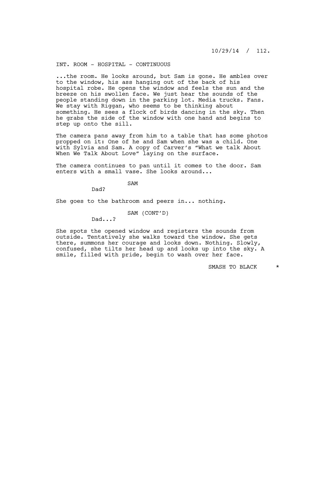### INT. ROOM - HOSPITAL - CONTINUOUS

...the room. He looks around, but Sam is gone. He ambles over to the window, his ass hanging out of the back of his hospital robe. He opens the window and feels the sun and the breeze on his swollen face. We just hear the sounds of the people standing down in the parking lot. Media trucks. Fans. We stay with Riggan, who seems to be thinking about something. He sees a flock of birds dancing in the sky. Then he grabs the side of the window with one hand and begins to step up onto the sill.

The camera pans away from him to a table that has some photos propped on it: One of he and Sam when she was a child. One with Sylvia and Sam. A copy of Carver's "What we talk About When We Talk About Love" laying on the surface.

The camera continues to pan until it comes to the door. Sam enters with a small vase. She looks around...

### SAM

Dad?

She goes to the bathroom and peers in... nothing.

# SAM (CONT'D)

Dad...?

She spots the opened window and registers the sounds from outside. Tentatively she walks toward the window. She gets there, summons her courage and looks down. Nothing. Slowly, confused, she tilts her head up and looks up into the sky. A smile, filled with pride, begin to wash over her face.

SMASH TO BLACK \*